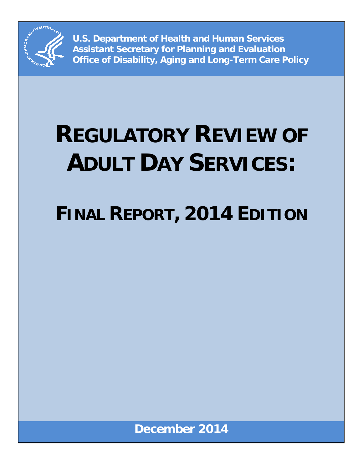

**U.S. Department of Health and Human Services Assistant Secretary for Planning and Evaluation Office of Disability, Aging and Long-Term Care Policy**

# **REGULATORY REVIEW OF ADULT DAY SERVICES:**

## **FINAL REPORT, 2014 EDITION**

**December 2014**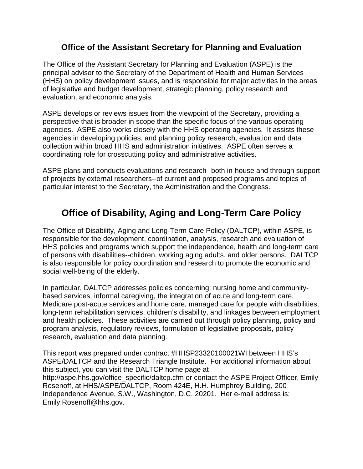#### **Office of the Assistant Secretary for Planning and Evaluation**

The Office of the Assistant Secretary for Planning and Evaluation (ASPE) is the principal advisor to the Secretary of the Department of Health and Human Services (HHS) on policy development issues, and is responsible for major activities in the areas of legislative and budget development, strategic planning, policy research and evaluation, and economic analysis.

ASPE develops or reviews issues from the viewpoint of the Secretary, providing a perspective that is broader in scope than the specific focus of the various operating agencies. ASPE also works closely with the HHS operating agencies. It assists these agencies in developing policies, and planning policy research, evaluation and data collection within broad HHS and administration initiatives. ASPE often serves a coordinating role for crosscutting policy and administrative activities.

ASPE plans and conducts evaluations and research--both in-house and through support of projects by external researchers--of current and proposed programs and topics of particular interest to the Secretary, the Administration and the Congress.

## **Office of Disability, Aging and Long-Term Care Policy**

The Office of Disability, Aging and Long-Term Care Policy (DALTCP), within ASPE, is responsible for the development, coordination, analysis, research and evaluation of HHS policies and programs which support the independence, health and long-term care of persons with disabilities--children, working aging adults, and older persons. DALTCP is also responsible for policy coordination and research to promote the economic and social well-being of the elderly.

In particular, DALTCP addresses policies concerning: nursing home and communitybased services, informal caregiving, the integration of acute and long-term care, Medicare post-acute services and home care, managed care for people with disabilities, long-term rehabilitation services, children's disability, and linkages between employment and health policies. These activities are carried out through policy planning, policy and program analysis, regulatory reviews, formulation of legislative proposals, policy research, evaluation and data planning.

This report was prepared under contract #HHSP23320100021WI between HHS's ASPE/DALTCP and the Research Triangle Institute. For additional information about this subject, you can visit the DALTCP home page at http://aspe.hhs.gov/office\_specific/daltcp.cfm or contact the ASPE Project Officer, Emily Rosenoff, at HHS/ASPE/DALTCP, Room 424E, H.H. Humphrey Building, 200 Independence Avenue, S.W., Washington, D.C. 20201. Her e-mail address is: Emily.Rosenoff@hhs.gov.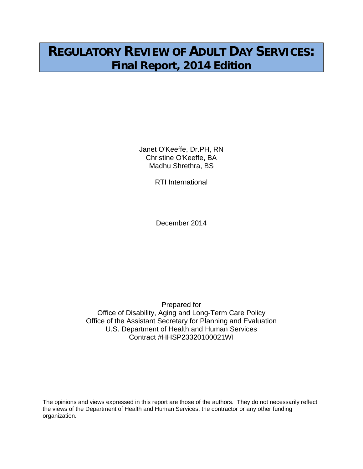## **REGULATORY REVIEW OF ADULT DAY SERVICES: Final Report, 2014 Edition**

Janet O'Keeffe, Dr.PH, RN Christine O'Keeffe, BA Madhu Shrethra, BS

RTI International

December 2014

Prepared for Office of Disability, Aging and Long-Term Care Policy Office of the Assistant Secretary for Planning and Evaluation U.S. Department of Health and Human Services Contract #HHSP23320100021WI

The opinions and views expressed in this report are those of the authors. They do not necessarily reflect the views of the Department of Health and Human Services, the contractor or any other funding organization.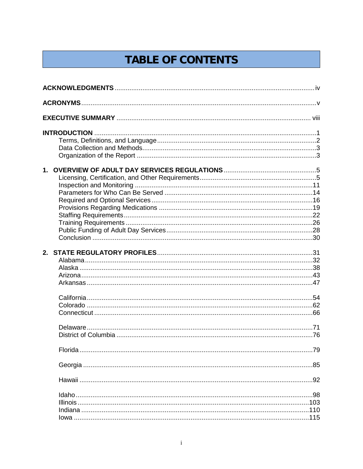## **TABLE OF CONTENTS**

| $1_{-}$ |  |
|---------|--|
|         |  |
|         |  |
|         |  |
|         |  |
|         |  |
|         |  |
|         |  |
|         |  |
|         |  |
|         |  |
| 2.      |  |
|         |  |
|         |  |
|         |  |
|         |  |
|         |  |
|         |  |
|         |  |
|         |  |
|         |  |
|         |  |
|         |  |
|         |  |
|         |  |
|         |  |
|         |  |
|         |  |
|         |  |
|         |  |
|         |  |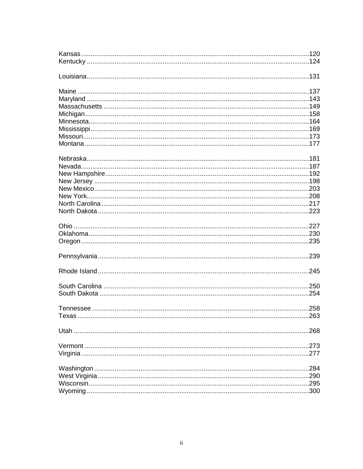| .277 |
|------|
|      |
|      |
| 290  |
| 295  |
| 300  |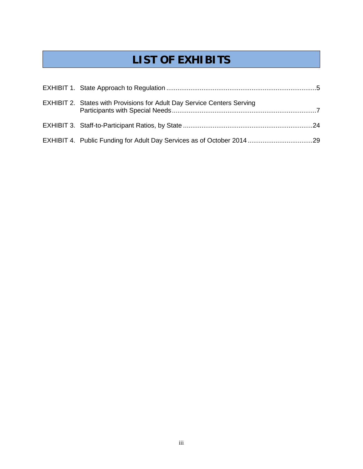## **LIST OF EXHIBITS**

| <b>EXHIBIT 2. States with Provisions for Adult Day Service Centers Serving</b> |  |
|--------------------------------------------------------------------------------|--|
|                                                                                |  |
|                                                                                |  |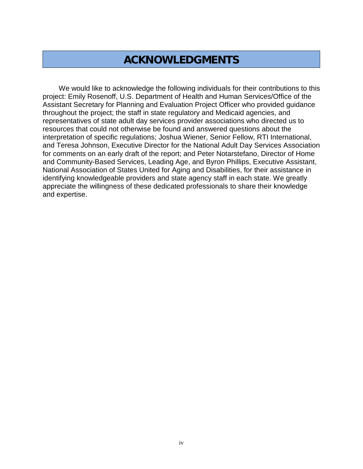## **ACKNOWLEDGMENTS**

We would like to acknowledge the following individuals for their contributions to this project: Emily Rosenoff, U.S. Department of Health and Human Services/Office of the Assistant Secretary for Planning and Evaluation Project Officer who provided guidance throughout the project; the staff in state regulatory and Medicaid agencies, and representatives of state adult day services provider associations who directed us to resources that could not otherwise be found and answered questions about the interpretation of specific regulations; Joshua Wiener, Senior Fellow, RTI International, and Teresa Johnson, Executive Director for the National Adult Day Services Association for comments on an early draft of the report; and Peter Notarstefano, Director of Home and Community-Based Services, Leading Age, and Byron Phillips, Executive Assistant, National Association of States United for Aging and Disabilities, for their assistance in identifying knowledgeable providers and state agency staff in each state. We greatly appreciate the willingness of these dedicated professionals to share their knowledge and expertise.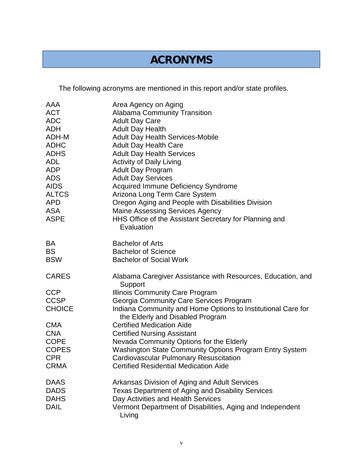## **ACRONYMS**

The following acronyms are mentioned in this report and/or state profiles.

| AAA           | Area Agency on Aging                                                                             |
|---------------|--------------------------------------------------------------------------------------------------|
| <b>ACT</b>    | <b>Alabama Community Transition</b>                                                              |
| <b>ADC</b>    | <b>Adult Day Care</b>                                                                            |
| <b>ADH</b>    | <b>Adult Day Health</b>                                                                          |
| ADH-M         | <b>Adult Day Health Services-Mobile</b>                                                          |
| <b>ADHC</b>   | <b>Adult Day Health Care</b>                                                                     |
| <b>ADHS</b>   | <b>Adult Day Health Services</b>                                                                 |
| <b>ADL</b>    | <b>Activity of Daily Living</b>                                                                  |
| <b>ADP</b>    | <b>Adult Day Program</b>                                                                         |
| <b>ADS</b>    | <b>Adult Day Services</b>                                                                        |
| <b>AIDS</b>   | <b>Acquired Immune Deficiency Syndrome</b>                                                       |
| <b>ALTCS</b>  | Arizona Long Term Care System                                                                    |
| <b>APD</b>    | Oregon Aging and People with Disabilities Division                                               |
| <b>ASA</b>    | <b>Maine Assessing Services Agency</b>                                                           |
| <b>ASPE</b>   | HHS Office of the Assistant Secretary for Planning and                                           |
|               | Evaluation                                                                                       |
| BA            | <b>Bachelor of Arts</b>                                                                          |
| <b>BS</b>     | <b>Bachelor of Science</b>                                                                       |
| <b>BSW</b>    | <b>Bachelor of Social Work</b>                                                                   |
| <b>CARES</b>  | Alabama Caregiver Assistance with Resources, Education, and<br>Support                           |
| <b>CCP</b>    | <b>Illinois Community Care Program</b>                                                           |
| <b>CCSP</b>   | Georgia Community Care Services Program                                                          |
| <b>CHOICE</b> | Indiana Community and Home Options to Institutional Care for<br>the Elderly and Disabled Program |
| <b>CMA</b>    | <b>Certified Medication Aide</b>                                                                 |
| <b>CNA</b>    | <b>Certified Nursing Assistant</b>                                                               |
| <b>COPE</b>   | Nevada Community Options for the Elderly                                                         |
| <b>COPES</b>  | Washington State Community Options Program Entry System                                          |
| <b>CPR</b>    | <b>Cardiovascular Pulmonary Resuscitation</b>                                                    |
| <b>CRMA</b>   | <b>Certified Residential Medication Aide</b>                                                     |
| <b>DAAS</b>   | Arkansas Division of Aging and Adult Services                                                    |
| <b>DADS</b>   | Texas Department of Aging and Disability Services                                                |
| <b>DAHS</b>   | Day Activities and Health Services                                                               |
| <b>DAIL</b>   | Vermont Department of Disabilities, Aging and Independent<br>Living                              |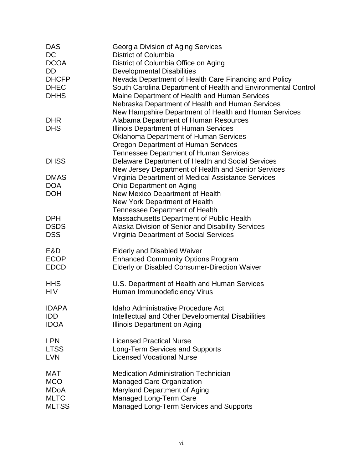| <b>DAS</b>   | Georgia Division of Aging Services                            |
|--------------|---------------------------------------------------------------|
| <b>DC</b>    | <b>District of Columbia</b>                                   |
| <b>DCOA</b>  | District of Columbia Office on Aging                          |
| DD.          | <b>Developmental Disabilities</b>                             |
| <b>DHCFP</b> | Nevada Department of Health Care Financing and Policy         |
| <b>DHEC</b>  | South Carolina Department of Health and Environmental Control |
| <b>DHHS</b>  | Maine Department of Health and Human Services                 |
|              | Nebraska Department of Health and Human Services              |
|              | New Hampshire Department of Health and Human Services         |
| <b>DHR</b>   | Alabama Department of Human Resources                         |
| <b>DHS</b>   | Illinois Department of Human Services                         |
|              | <b>Oklahoma Department of Human Services</b>                  |
|              | <b>Oregon Department of Human Services</b>                    |
|              | <b>Tennessee Department of Human Services</b>                 |
| <b>DHSS</b>  | Delaware Department of Health and Social Services             |
|              | New Jersey Department of Health and Senior Services           |
| <b>DMAS</b>  | Virginia Department of Medical Assistance Services            |
| <b>DOA</b>   | Ohio Department on Aging                                      |
| <b>DOH</b>   | New Mexico Department of Health                               |
|              | New York Department of Health                                 |
|              | Tennessee Department of Health                                |
| <b>DPH</b>   | <b>Massachusetts Department of Public Health</b>              |
| <b>DSDS</b>  | Alaska Division of Senior and Disability Services             |
| <b>DSS</b>   | <b>Virginia Department of Social Services</b>                 |
|              |                                                               |
| E&D          | <b>Elderly and Disabled Waiver</b>                            |
| <b>ECOP</b>  | <b>Enhanced Community Options Program</b>                     |
| <b>EDCD</b>  | <b>Elderly or Disabled Consumer-Direction Waiver</b>          |
|              |                                                               |
| <b>HHS</b>   | U.S. Department of Health and Human Services                  |
| <b>HIV</b>   | Human Immunodeficiency Virus                                  |
|              |                                                               |
| <b>IDAPA</b> | Idaho Administrative Procedure Act                            |
| <b>IDD</b>   | Intellectual and Other Developmental Disabilities             |
| <b>IDOA</b>  | Illinois Department on Aging                                  |
|              |                                                               |
| <b>LPN</b>   | <b>Licensed Practical Nurse</b>                               |
| <b>LTSS</b>  | <b>Long-Term Services and Supports</b>                        |
| <b>LVN</b>   | <b>Licensed Vocational Nurse</b>                              |
| MAT          | <b>Medication Administration Technician</b>                   |
| <b>MCO</b>   | <b>Managed Care Organization</b>                              |
| <b>MDoA</b>  | Maryland Department of Aging                                  |
| <b>MLTC</b>  | Managed Long-Term Care                                        |
| <b>MLTSS</b> | Managed Long-Term Services and Supports                       |
|              |                                                               |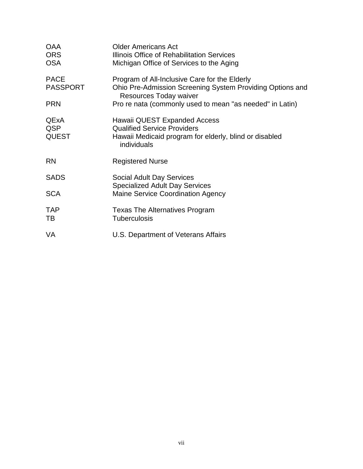| <b>OAA</b><br><b>ORS</b><br><b>OSA</b>    | <b>Older Americans Act</b><br>Illinois Office of Rehabilitation Services<br>Michigan Office of Services to the Aging                        |
|-------------------------------------------|---------------------------------------------------------------------------------------------------------------------------------------------|
| <b>PACE</b><br><b>PASSPORT</b>            | Program of All-Inclusive Care for the Elderly<br>Ohio Pre-Admission Screening System Providing Options and<br>Resources Today waiver        |
| <b>PRN</b>                                | Pro re nata (commonly used to mean "as needed" in Latin)                                                                                    |
| <b>QExA</b><br><b>QSP</b><br><b>QUEST</b> | Hawaii QUEST Expanded Access<br><b>Qualified Service Providers</b><br>Hawaii Medicaid program for elderly, blind or disabled<br>individuals |
| <b>RN</b>                                 | <b>Registered Nurse</b>                                                                                                                     |
| <b>SADS</b>                               | <b>Social Adult Day Services</b>                                                                                                            |
| <b>SCA</b>                                | <b>Specialized Adult Day Services</b><br><b>Maine Service Coordination Agency</b>                                                           |
| <b>TAP</b><br>TB                          | <b>Texas The Alternatives Program</b><br><b>Tuberculosis</b>                                                                                |
| <b>VA</b>                                 | U.S. Department of Veterans Affairs                                                                                                         |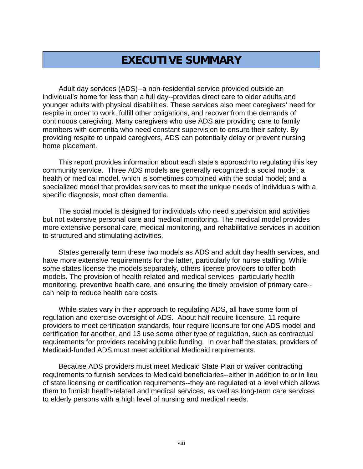## **EXECUTIVE SUMMARY**

Adult day services (ADS)--a non-residential service provided outside an individual's home for less than a full day--provides direct care to older adults and younger adults with physical disabilities. These services also meet caregivers' need for respite in order to work, fulfill other obligations, and recover from the demands of continuous caregiving. Many caregivers who use ADS are providing care to family members with dementia who need constant supervision to ensure their safety. By providing respite to unpaid caregivers, ADS can potentially delay or prevent nursing home placement.

This report provides information about each state's approach to regulating this key community service. Three ADS models are generally recognized: a social model; a health or medical model, which is sometimes combined with the social model; and a specialized model that provides services to meet the unique needs of individuals with a specific diagnosis, most often dementia.

The social model is designed for individuals who need supervision and activities but not extensive personal care and medical monitoring. The medical model provides more extensive personal care, medical monitoring, and rehabilitative services in addition to structured and stimulating activities.

States generally term these two models as ADS and adult day health services, and have more extensive requirements for the latter, particularly for nurse staffing. While some states license the models separately, others license providers to offer both models. The provision of health-related and medical services--particularly health monitoring, preventive health care, and ensuring the timely provision of primary care- can help to reduce health care costs.

While states vary in their approach to regulating ADS, all have some form of regulation and exercise oversight of ADS. About half require licensure, 11 require providers to meet certification standards, four require licensure for one ADS model and certification for another, and 13 use some other type of regulation, such as contractual requirements for providers receiving public funding. In over half the states, providers of Medicaid-funded ADS must meet additional Medicaid requirements.

Because ADS providers must meet Medicaid State Plan or waiver contracting requirements to furnish services to Medicaid beneficiaries--either in addition to or in lieu of state licensing or certification requirements--they are regulated at a level which allows them to furnish health-related and medical services, as well as long-term care services to elderly persons with a high level of nursing and medical needs.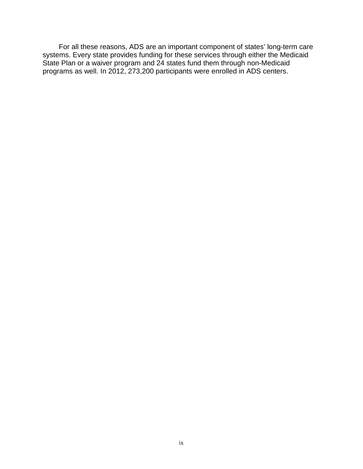For all these reasons, ADS are an important component of states' long-term care systems. Every state provides funding for these services through either the Medicaid State Plan or a waiver program and 24 states fund them through non-Medicaid programs as well. In 2012, 273,200 participants were enrolled in ADS centers.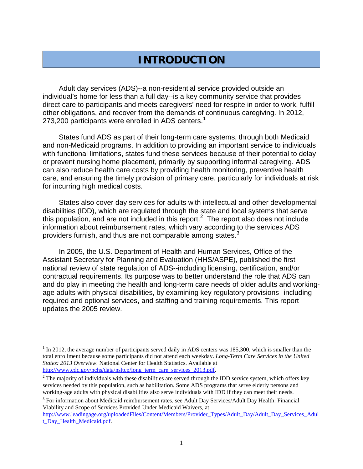## **INTRODUCTION**

Adult day services (ADS)--a non-residential service provided outside an individual's home for less than a full day--is a key community service that provides direct care to participants and meets caregivers' need for respite in order to work, fulfill other obligations, and recover from the demands of continuous caregiving. In 2012, 273,200 participants were enrolled in ADS centers.<sup>[1](#page-12-0)</sup>

States fund ADS as part of their long-term care systems, through both Medicaid and non-Medicaid programs. In addition to providing an important service to individuals with functional limitations, states fund these services because of their potential to delay or prevent nursing home placement, primarily by supporting informal caregiving. ADS can also reduce health care costs by providing health monitoring, preventive health care, and ensuring the timely provision of primary care, particularly for individuals at risk for incurring high medical costs.

States also cover day services for adults with intellectual and other developmental disabilities (IDD), which are regulated through the state and local systems that serve this population, and are not included in this report.<sup>[2](#page-12-1)</sup> The report also does not include information about reimbursement rates, which vary according to the services ADS providers furnish, and thus are not comparable among states.<sup>[3](#page-12-2)</sup>

In 2005, the U.S. Department of Health and Human Services, Office of the Assistant Secretary for Planning and Evaluation (HHS/ASPE), published the first national review of state regulation of ADS--including licensing, certification, and/or contractual requirements. Its purpose was to better understand the role that ADS can and do play in meeting the health and long-term care needs of older adults and workingage adults with physical disabilities, by examining key regulatory provisions--including required and optional services, and staffing and training requirements. This report updates the 2005 review.

<span id="page-12-3"></span><span id="page-12-2"></span><sup>3</sup> For information about Medicaid reimbursement rates, see Adult Day Services/Adult Day Health: Financial Viability and Scope of Services Provided Under Medicaid Waivers, at

[http://www.leadingage.org/uploadedFiles/Content/Members/Provider\\_Types/Adult\\_Day/Adult\\_Day\\_Services\\_Adul](http://www.leadingage.org/uploadedFiles/Content/Members/Provider_Types/Adult_Day/Adult_Day_Services_Adult_Day_Health_Medicaid.pdf)t\_ [t\\_Day\\_Health\\_Medicaid.pdf.](http://www.leadingage.org/uploadedFiles/Content/Members/Provider_Types/Adult_Day/Adult_Day_Services_Adult_Day_Health_Medicaid.pdf)

<span id="page-12-0"></span> $<sup>1</sup>$  In 2012, the average number of participants served daily in ADS centers was 185,300, which is smaller than the</sup> total enrollment because some participants did not attend each weekday. *Long-Term Care Services in the United States: 2013 Overview.* National Center for Health Statistics. Available at http://www.cdc.gov/nchs/data/nsltcp/long term care services 2013.pdf.

<span id="page-12-1"></span> $^2$  $^2$  The majority of individuals with these disabilities are served through the IDD service system, which offers key services needed by this population, such as habilitation. Some ADS programs that serve elderly persons and working-age adults with physical disabilities also serve individuals with IDD if they can meet their needs.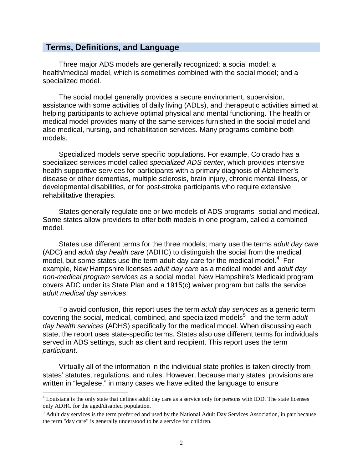#### **Terms, Definitions, and Language**

Three major ADS models are generally recognized: a social model; a health/medical model, which is sometimes combined with the social model; and a specialized model.

The social model generally provides a secure environment, supervision, assistance with some activities of daily living (ADLs), and therapeutic activities aimed at helping participants to achieve optimal physical and mental functioning. The health or medical model provides many of the same services furnished in the social model and also medical, nursing, and rehabilitation services. Many programs combine both models.

Specialized models serve specific populations. For example, Colorado has a specialized services model called *specialized ADS center*, which provides intensive health supportive services for participants with a primary diagnosis of Alzheimer's disease or other dementias, multiple sclerosis, brain injury, chronic mental illness, or developmental disabilities, or for post-stroke participants who require extensive rehabilitative therapies.

States generally regulate one or two models of ADS programs--social and medical. Some states allow providers to offer both models in one program, called a combined model.

States use different terms for the three models; many use the terms *adult day care* (ADC) and *adult day health care* (ADHC) to distinguish the social from the medical model, but some states use the term adult day care for the medical model. $4$  For example, New Hampshire licenses *adult day care* as a medical model and *adult day non-medical program services* as a social model. New Hampshire's Medicaid program covers ADC under its State Plan and a 1915(c) waiver program but calls the service *adult medical day services*.

To avoid confusion, this report uses the term *adult day services* as a generic term covering the social, medical, combined, and specialized models<sup>[5](#page-13-0)</sup>--and the term adult *day health services* (ADHS) specifically for the medical model. When discussing each state, the report uses state-specific terms. States also use different terms for individuals served in ADS settings, such as client and recipient. This report uses the term *participant*.

Virtually all of the information in the individual state profiles is taken directly from states' statutes, regulations, and rules. However, because many states' provisions are written in "legalese," in many cases we have edited the language to ensure

<sup>4</sup> Louisiana is the only state that defines adult day care as a service only for persons with IDD. The state licenses only ADHC for the aged/disabled population.

<span id="page-13-1"></span><span id="page-13-0"></span><sup>&</sup>lt;sup>5</sup> Adult day services is the term preferred and used by the National Adult Day Services Association, in part because the term "day care" is generally understood to be a service for children.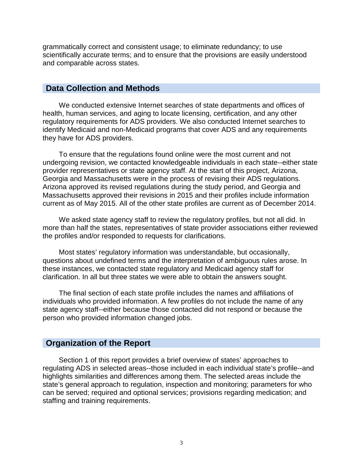grammatically correct and consistent usage; to eliminate redundancy; to use scientifically accurate terms; and to ensure that the provisions are easily understood and comparable across states.

#### **Data Collection and Methods**

We conducted extensive Internet searches of state departments and offices of health, human services, and aging to locate licensing, certification, and any other regulatory requirements for ADS providers. We also conducted Internet searches to identify Medicaid and non-Medicaid programs that cover ADS and any requirements they have for ADS providers.

To ensure that the regulations found online were the most current and not undergoing revision, we contacted knowledgeable individuals in each state--either state provider representatives or state agency staff. At the start of this project, Arizona, Georgia and Massachusetts were in the process of revising their ADS regulations. Arizona approved its revised regulations during the study period, and Georgia and Massachusetts approved their revisions in 2015 and their profiles include information current as of May 2015. All of the other state profiles are current as of December 2014.

We asked state agency staff to review the regulatory profiles, but not all did. In more than half the states, representatives of state provider associations either reviewed the profiles and/or responded to requests for clarifications.

Most states' regulatory information was understandable, but occasionally, questions about undefined terms and the interpretation of ambiguous rules arose. In these instances, we contacted state regulatory and Medicaid agency staff for clarification. In all but three states we were able to obtain the answers sought.

The final section of each state profile includes the names and affiliations of individuals who provided information. A few profiles do not include the name of any state agency staff--either because those contacted did not respond or because the person who provided information changed jobs.

#### **Organization of the Report**

Section 1 of this report provides a brief overview of states' approaches to regulating ADS in selected areas--those included in each individual state's profile--and highlights similarities and differences among them. The selected areas include the state's general approach to regulation, inspection and monitoring; parameters for who can be served; required and optional services; provisions regarding medication; and staffing and training requirements.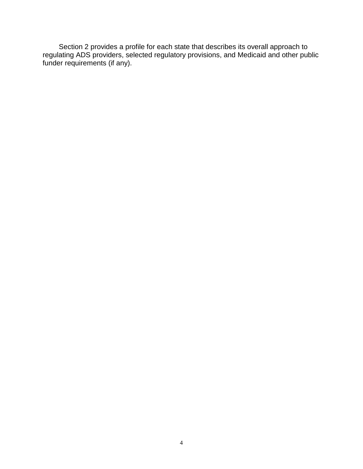Section 2 provides a profile for each state that describes its overall approach to regulating ADS providers, selected regulatory provisions, and Medicaid and other public funder requirements (if any).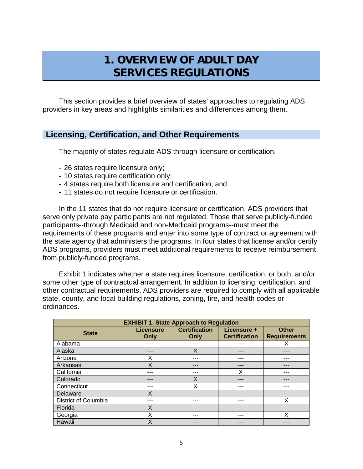## **1. OVERVIEW OF ADULT DAY SERVICES REGULATIONS**

This section provides a brief overview of states' approaches to regulating ADS providers in key areas and highlights similarities and differences among them.

#### **Licensing, Certification, and Other Requirements**

The majority of states regulate ADS through licensure or certification.

- 26 states require licensure only;
- 10 states require certification only;
- 4 states require both licensure and certification; and
- 11 states do not require licensure or certification.

In the 11 states that do not require licensure or certification, ADS providers that serve only private pay participants are not regulated. Those that serve publicly-funded participants--through Medicaid and non-Medicaid programs--must meet the requirements of these programs and enter into some type of contract or agreement with the state agency that administers the programs. In four states that license and/or certify ADS programs, providers must meet additional requirements to receive reimbursement from publicly-funded programs.

Exhibit 1 indicates whether a state requires licensure, certification, or both, and/or some other type of contractual arrangement. In addition to licensing, certification, and other contractual requirements, ADS providers are required to comply with all applicable state, county, and local building regulations, zoning, fire, and health codes or ordinances.

| <b>EXHIBIT 1. State Approach to Regulation</b> |                          |                              |                                     |                                     |  |  |  |
|------------------------------------------------|--------------------------|------------------------------|-------------------------------------|-------------------------------------|--|--|--|
| <b>State</b>                                   | <b>Licensure</b><br>Only | <b>Certification</b><br>Only | Licensure +<br><b>Certification</b> | <b>Other</b><br><b>Requirements</b> |  |  |  |
| Alabama                                        | ---                      |                              |                                     | х                                   |  |  |  |
| Alaska                                         | ---                      | X                            | ---                                 |                                     |  |  |  |
| Arizona                                        | X                        | ---                          | ---                                 | ---                                 |  |  |  |
| Arkansas                                       | Χ                        | ---                          | ---                                 | ---                                 |  |  |  |
| California                                     | ---                      | ---                          | Χ                                   | ---                                 |  |  |  |
| Colorado                                       |                          | X                            |                                     |                                     |  |  |  |
| Connecticut                                    | ---                      | Χ                            | ---                                 | ---                                 |  |  |  |
| Delaware                                       | X                        | ---                          | ---                                 | ---                                 |  |  |  |
| District of Columbia                           | ---                      | ---                          | ---                                 | X                                   |  |  |  |
| Florida                                        | X                        | ---                          | ---                                 | ---                                 |  |  |  |
| Georgia                                        | X                        |                              | ---                                 | X                                   |  |  |  |
| Hawaii                                         | X                        |                              | ---                                 |                                     |  |  |  |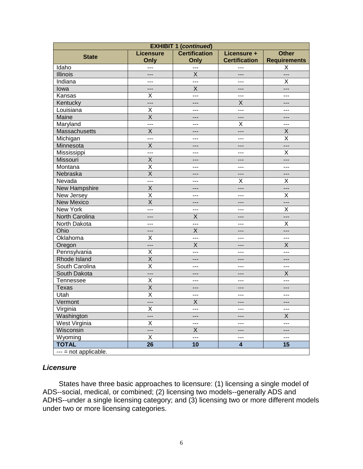| <b>EXHIBIT 1 (continued)</b> |                  |                      |                         |                     |  |  |
|------------------------------|------------------|----------------------|-------------------------|---------------------|--|--|
| <b>State</b>                 | <b>Licensure</b> | <b>Certification</b> | Licensure +             | <b>Other</b>        |  |  |
|                              | Only             | Only                 | <b>Certification</b>    | <b>Requirements</b> |  |  |
| Idaho                        | ---              | ---                  |                         | X                   |  |  |
| <b>Illinois</b>              | ---              | $\sf X$              | $---$                   | ---                 |  |  |
| Indiana                      | ---              | ---                  | $---$                   | Х                   |  |  |
| lowa                         | ---              | $\sf X$              | ---                     | ---                 |  |  |
| Kansas                       | Χ                | ---                  | $---$                   | ---                 |  |  |
| Kentucky                     | ---              | ---                  | Χ                       | ---                 |  |  |
| Louisiana                    | Χ                | ---                  | ---                     | ---                 |  |  |
| Maine                        | Χ                | $---$                | $---$                   | ---                 |  |  |
| Maryland                     | ---              | ---                  | Χ                       | ---                 |  |  |
| Massachusetts                | X                | $---$                | ---                     | X                   |  |  |
| Michigan                     | ---              | ---                  | $---$                   | Χ                   |  |  |
| Minnesota                    | X                | $---$                | ---                     | ---                 |  |  |
| Mississippi                  | ---              | ---                  | $---$                   | Χ                   |  |  |
| Missouri                     | X                | $---$                | ---                     | ---                 |  |  |
| Montana                      | Χ                | ---                  | $---$                   | ---                 |  |  |
| Nebraska                     | X                | $---$                | $---$                   | ---                 |  |  |
| Nevada                       | ---              | ---                  | Х                       | Х                   |  |  |
| New Hampshire                | X                | $---$                | ---                     | ---                 |  |  |
| New Jersey                   | Χ                | ---                  | $---$                   | Χ                   |  |  |
| <b>New Mexico</b>            | X                | ---                  | $---$                   | ---                 |  |  |
| New York                     | ---              | ---                  | $---$                   | Χ                   |  |  |
| North Carolina               | ---              | $\sf X$              | ---                     | ---                 |  |  |
| North Dakota                 | ---              | ---                  | $---$                   | Χ                   |  |  |
| Ohio                         | ---              | $\sf X$              | $---$                   | ---                 |  |  |
| Oklahoma                     | Χ                | ---                  | $---$                   | ---                 |  |  |
| Oregon                       | ---              | $\sf X$              | $---$                   | X                   |  |  |
| Pennsylvania                 | Χ                | ---                  | $---$                   | ---                 |  |  |
| Rhode Island                 | X                | ---                  | $---$                   | ---                 |  |  |
| South Carolina               | X                | ---                  | $---$                   | ---                 |  |  |
| South Dakota                 | ---              | $---$                | $---$                   | X                   |  |  |
| Tennessee                    | Χ                | ---                  | $---$                   | $---$               |  |  |
| <b>Texas</b>                 | Χ                | $---$                | ---                     | ---                 |  |  |
| Utah                         | Χ                | $---$                | ---                     | ---                 |  |  |
| Vermont                      | ---              | $\mathsf X$          | $---$                   | $---$               |  |  |
| Virginia                     | X                | $---$                | ---                     | ---                 |  |  |
| Washington                   | ---              | $---$                | $---$                   | X                   |  |  |
| West Virginia                | Χ                | ---                  | $\qquad \qquad -$       | ---                 |  |  |
| Wisconsin                    | ---              | X                    | ---                     | ---                 |  |  |
| Wyoming                      | Χ                | $\overline{a}$       | $\qquad \qquad -$       | ---                 |  |  |
| <b>TOTAL</b>                 | 26               | 10                   | $\overline{\mathbf{4}}$ | 15                  |  |  |
| --- = not applicable.        |                  |                      |                         |                     |  |  |

#### *Licensure*

States have three basic approaches to licensure: (1) licensing a single model of ADS--social, medical, or combined; (2) licensing two models--generally ADS and ADHS--under a single licensing category; and (3) licensing two or more different models under two or more licensing categories.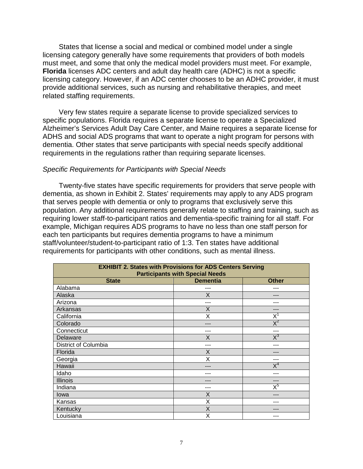States that license a social and medical or combined model under a single licensing category generally have some requirements that providers of both models must meet, and some that only the medical model providers must meet. For example, **Florida** licenses ADC centers and adult day health care (ADHC) is not a specific licensing category. However, if an ADC center chooses to be an ADHC provider, it must provide additional services, such as nursing and rehabilitative therapies, and meet related staffing requirements.

Very few states require a separate license to provide specialized services to specific populations. Florida requires a separate license to operate a Specialized Alzheimer's Services Adult Day Care Center, and Maine requires a separate license for ADHS and social ADS programs that want to operate a night program for persons with dementia. Other states that serve participants with special needs specify additional requirements in the regulations rather than requiring separate licenses.

#### *Specific Requirements for Participants with Special Needs*

Twenty-five states have specific requirements for providers that serve people with dementia, as shown in Exhibit 2. States' requirements may apply to any ADS program that serves people with dementia or only to programs that exclusively serve this population. Any additional requirements generally relate to staffing and training, such as requiring lower staff-to-participant ratios and dementia-specific training for all staff. For example, Michigan requires ADS programs to have no less than one staff person for each ten participants but requires dementia programs to have a minimum staff/volunteer/student-to-participant ratio of 1:3. Ten states have additional requirements for participants with other conditions, such as mental illness.

| <b>EXHIBIT 2. States with Provisions for ADS Centers Serving</b><br><b>Participants with Special Needs</b> |              |       |  |  |  |  |
|------------------------------------------------------------------------------------------------------------|--------------|-------|--|--|--|--|
| <b>State</b>                                                                                               | <b>Other</b> |       |  |  |  |  |
| Alabama                                                                                                    | ---          | ---   |  |  |  |  |
| Alaska                                                                                                     | X            |       |  |  |  |  |
| Arizona                                                                                                    | ---          |       |  |  |  |  |
| Arkansas                                                                                                   | X            | ---   |  |  |  |  |
| California                                                                                                 | X            | $X^1$ |  |  |  |  |
| Colorado                                                                                                   | ---          | $X^2$ |  |  |  |  |
| Connecticut                                                                                                | ---          | ---   |  |  |  |  |
| Delaware                                                                                                   | X            | $X^3$ |  |  |  |  |
| District of Columbia                                                                                       | ---          | ---   |  |  |  |  |
| Florida                                                                                                    | X            | ---   |  |  |  |  |
| Georgia                                                                                                    | X            | ---   |  |  |  |  |
| Hawaii                                                                                                     | ---          | $X^4$ |  |  |  |  |
| Idaho                                                                                                      |              |       |  |  |  |  |
| <b>Illinois</b>                                                                                            | ---          | ---   |  |  |  |  |
| Indiana                                                                                                    | ---          | $X^5$ |  |  |  |  |
| lowa                                                                                                       | X            | ---   |  |  |  |  |
| Kansas                                                                                                     | X            | ---   |  |  |  |  |
| Kentucky                                                                                                   | X            |       |  |  |  |  |
| Louisiana                                                                                                  | X            |       |  |  |  |  |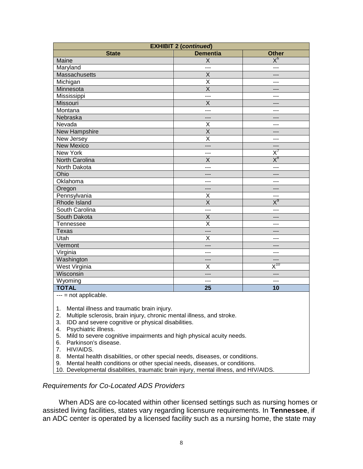| <b>EXHIBIT 2 (continued)</b> |                         |                                       |  |  |  |
|------------------------------|-------------------------|---------------------------------------|--|--|--|
| <b>State</b>                 | <b>Dementia</b>         | <b>Other</b>                          |  |  |  |
| Maine                        | $\sf X$                 | $\overline{\mathsf{X}}^6$             |  |  |  |
| Maryland                     | ---                     | ---                                   |  |  |  |
| Massachusetts                | $\overline{X}$          | ---                                   |  |  |  |
| Michigan                     | $\overline{\mathsf{x}}$ | ---                                   |  |  |  |
| Minnesota                    | $\overline{\mathsf{x}}$ | ---                                   |  |  |  |
| Mississippi                  | ---                     | ---                                   |  |  |  |
| <b>Missouri</b>              | X                       | ---                                   |  |  |  |
| Montana                      | ---                     | ---                                   |  |  |  |
| Nebraska                     | $---$                   | ---                                   |  |  |  |
| Nevada                       | X                       | ---                                   |  |  |  |
| New Hampshire                | $\overline{X}$          | ---                                   |  |  |  |
| New Jersey                   | $\overline{\mathsf{x}}$ | ---                                   |  |  |  |
| <b>New Mexico</b>            | $---$                   | ---                                   |  |  |  |
| New York                     | ---                     | $\overline{\mathsf{x}'}$              |  |  |  |
| <b>North Carolina</b>        | X                       | $X_8$                                 |  |  |  |
| North Dakota                 | ---                     | ---                                   |  |  |  |
| Ohio                         | $---$                   | ---                                   |  |  |  |
| Oklahoma                     | $-$ - $-$               | ---                                   |  |  |  |
| Oregon                       | ---                     | ---                                   |  |  |  |
| Pennsylvania                 | X                       | ---                                   |  |  |  |
| <b>Rhode Island</b>          | $\overline{X}$          | $X_{a}$                               |  |  |  |
| South Carolina               | $-$ - $-$               | ---                                   |  |  |  |
| South Dakota                 | $\sf X$                 | ---                                   |  |  |  |
| Tennessee                    | $\overline{\mathsf{x}}$ | ---                                   |  |  |  |
| <b>Texas</b>                 | $---$                   | ---                                   |  |  |  |
| Utah                         | $\overline{\mathsf{x}}$ | ---                                   |  |  |  |
| Vermont                      | ---                     | ---                                   |  |  |  |
| Virginia                     | ---                     | ---                                   |  |  |  |
| Washington                   | ---                     | ---                                   |  |  |  |
| West Virginia                | X                       | $\overline{\mathsf{X}}^{\mathsf{10}}$ |  |  |  |
| Wisconsin                    | $---$                   | $---$                                 |  |  |  |
| Wyoming                      | ---                     | ---                                   |  |  |  |
| <b>TOTAL</b>                 | $\overline{25}$         | 10                                    |  |  |  |

--- = not applicable.

1. Mental illness and traumatic brain injury.

2. Multiple sclerosis, brain injury, chronic mental illness, and stroke.

3. IDD and severe cognitive or physical disabilities.

4. Psychiatric illness.

5. Mild to severe cognitive impairments and high physical acuity needs.

6. Parkinson's disease.

7. HIV/AIDS.

8. Mental health disabilities, or other special needs, diseases, or conditions.

9. Mental health conditions or other special needs, diseases, or conditions.

10. Developmental disabilities, traumatic brain injury, mental illness, and HIV/AIDS.

*Requirements for Co-Located ADS Providers* 

When ADS are co-located within other licensed settings such as nursing homes or assisted living facilities, states vary regarding licensure requirements. In **Tennessee**, if an ADC center is operated by a licensed facility such as a nursing home, the state may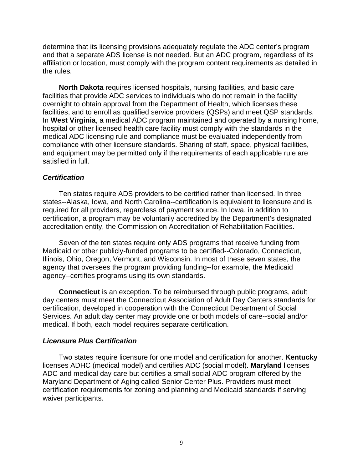determine that its licensing provisions adequately regulate the ADC center's program and that a separate ADS license is not needed. But an ADC program, regardless of its affiliation or location, must comply with the program content requirements as detailed in the rules.

**North Dakota** requires licensed hospitals, nursing facilities, and basic care facilities that provide ADC services to individuals who do not remain in the facility overnight to obtain approval from the Department of Health, which licenses these facilities, and to enroll as qualified service providers (QSPs) and meet QSP standards. In **West Virginia**, a medical ADC program maintained and operated by a nursing home, hospital or other licensed health care facility must comply with the standards in the medical ADC licensing rule and compliance must be evaluated independently from compliance with other licensure standards. Sharing of staff, space, physical facilities, and equipment may be permitted only if the requirements of each applicable rule are satisfied in full.

#### *Certification*

Ten states require ADS providers to be certified rather than licensed. In three states--Alaska, Iowa, and North Carolina--certification is equivalent to licensure and is required for all providers, regardless of payment source. In Iowa, in addition to certification, a program may be voluntarily accredited by the Department's designated accreditation entity, the Commission on Accreditation of Rehabilitation Facilities.

Seven of the ten states require only ADS programs that receive funding from Medicaid or other publicly-funded programs to be certified--Colorado, Connecticut, Illinois, Ohio, Oregon, Vermont, and Wisconsin. In most of these seven states, the agency that oversees the program providing funding--for example, the Medicaid agency--certifies programs using its own standards.

**Connecticut** is an exception. To be reimbursed through public programs, adult day centers must meet the Connecticut Association of Adult Day Centers standards for certification, developed in cooperation with the Connecticut Department of Social Services. An adult day center may provide one or both models of care--social and/or medical. If both, each model requires separate certification.

#### *Licensure Plus Certification*

Two states require licensure for one model and certification for another. **Kentucky** licenses ADHC (medical model) and certifies ADC (social model). **Maryland** licenses ADC and medical day care but certifies a small social ADC program offered by the Maryland Department of Aging called Senior Center Plus. Providers must meet certification requirements for zoning and planning and Medicaid standards if serving waiver participants.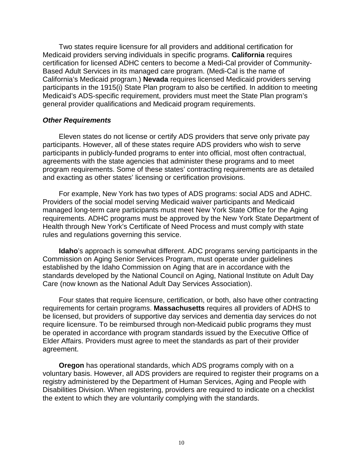Two states require licensure for all providers and additional certification for Medicaid providers serving individuals in specific programs. **California** requires certification for licensed ADHC centers to become a Medi-Cal provider of Community-Based Adult Services in its managed care program. (Medi-Cal is the name of California's Medicaid program.) **Nevada** requires licensed Medicaid providers serving participants in the 1915(i) State Plan program to also be certified. In addition to meeting Medicaid's ADS-specific requirement, providers must meet the State Plan program's general provider qualifications and Medicaid program requirements.

#### *Other Requirements*

Eleven states do not license or certify ADS providers that serve only private pay participants. However, all of these states require ADS providers who wish to serve participants in publicly-funded programs to enter into official, most often contractual, agreements with the state agencies that administer these programs and to meet program requirements. Some of these states' contracting requirements are as detailed and exacting as other states' licensing or certification provisions.

For example, New York has two types of ADS programs: social ADS and ADHC. Providers of the social model serving Medicaid waiver participants and Medicaid managed long-term care participants must meet New York State Office for the Aging requirements. ADHC programs must be approved by the New York State Department of Health through New York's Certificate of Need Process and must comply with state rules and regulations governing this service.

**Idaho**'s approach is somewhat different. ADC programs serving participants in the Commission on Aging Senior Services Program, must operate under guidelines established by the Idaho Commission on Aging that are in accordance with the standards developed by the National Council on Aging, National Institute on Adult Day Care (now known as the National Adult Day Services Association).

Four states that require licensure, certification, or both, also have other contracting requirements for certain programs. **Massachusetts** requires all providers of ADHS to be licensed, but providers of supportive day services and dementia day services do not require licensure. To be reimbursed through non-Medicaid public programs they must be operated in accordance with program standards issued by the Executive Office of Elder Affairs. Providers must agree to meet the standards as part of their provider agreement.

**Oregon** has operational standards, which ADS programs comply with on a voluntary basis. However, all ADS providers are required to register their programs on a registry administered by the Department of Human Services, Aging and People with Disabilities Division. When registering, providers are required to indicate on a checklist the extent to which they are voluntarily complying with the standards.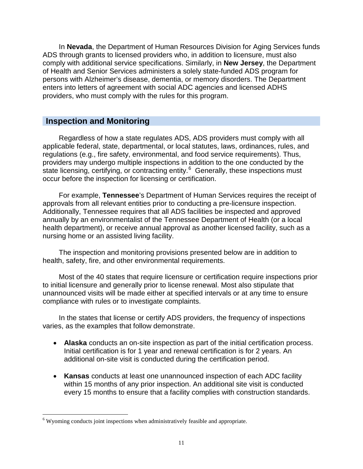In **Nevada**, the Department of Human Resources Division for Aging Services funds ADS through grants to licensed providers who, in addition to licensure, must also comply with additional service specifications. Similarly, in **New Jersey**, the Department of Health and Senior Services administers a solely state-funded ADS program for persons with Alzheimer's disease, dementia, or memory disorders. The Department enters into letters of agreement with social ADC agencies and licensed ADHS providers, who must comply with the rules for this program.

#### **Inspection and Monitoring**

Regardless of how a state regulates ADS, ADS providers must comply with all applicable federal, state, departmental, or local statutes, laws, ordinances, rules, and regulations (e.g., fire safety, environmental, and food service requirements). Thus, providers may undergo multiple inspections in addition to the one conducted by the state licensing, certifying, or contracting entity.<sup>[6](#page-13-1)</sup> Generally, these inspections must occur before the inspection for licensing or certification.

For example, **Tennessee**'s Department of Human Services requires the receipt of approvals from all relevant entities prior to conducting a pre-licensure inspection. Additionally, Tennessee requires that all ADS facilities be inspected and approved annually by an environmentalist of the Tennessee Department of Health (or a local health department), or receive annual approval as another licensed facility, such as a nursing home or an assisted living facility.

The inspection and monitoring provisions presented below are in addition to health, safety, fire, and other environmental requirements.

Most of the 40 states that require licensure or certification require inspections prior to initial licensure and generally prior to license renewal. Most also stipulate that unannounced visits will be made either at specified intervals or at any time to ensure compliance with rules or to investigate complaints.

In the states that license or certify ADS providers, the frequency of inspections varies, as the examples that follow demonstrate.

- **Alaska** conducts an on-site inspection as part of the initial certification process. Initial certification is for 1 year and renewal certification is for 2 years. An additional on-site visit is conducted during the certification period.
- **Kansas** conducts at least one unannounced inspection of each ADC facility within 15 months of any prior inspection. An additional site visit is conducted every 15 months to ensure that a facility complies with construction standards.

<span id="page-22-0"></span><sup>&</sup>lt;sup>6</sup> Wyoming conducts joint inspections when administratively feasible and appropriate.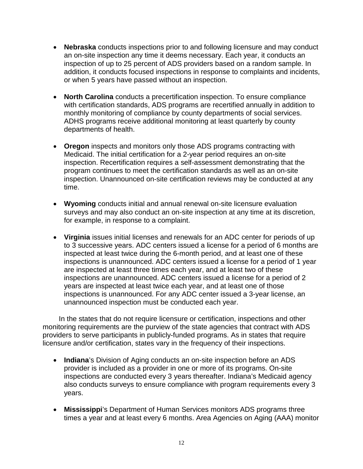- **Nebraska** conducts inspections prior to and following licensure and may conduct an on-site inspection any time it deems necessary. Each year, it conducts an inspection of up to 25 percent of ADS providers based on a random sample. In addition, it conducts focused inspections in response to complaints and incidents, or when 5 years have passed without an inspection.
- **North Carolina** conducts a precertification inspection. To ensure compliance with certification standards, ADS programs are recertified annually in addition to monthly monitoring of compliance by county departments of social services. ADHS programs receive additional monitoring at least quarterly by county departments of health.
- **Oregon** inspects and monitors only those ADS programs contracting with Medicaid. The initial certification for a 2-year period requires an on-site inspection. Recertification requires a self-assessment demonstrating that the program continues to meet the certification standards as well as an on-site inspection. Unannounced on-site certification reviews may be conducted at any time.
- **Wyoming** conducts initial and annual renewal on-site licensure evaluation surveys and may also conduct an on-site inspection at any time at its discretion, for example, in response to a complaint.
- **Virginia** issues initial licenses and renewals for an ADC center for periods of up to 3 successive years. ADC centers issued a license for a period of 6 months are inspected at least twice during the 6-month period, and at least one of these inspections is unannounced. ADC centers issued a license for a period of 1 year are inspected at least three times each year, and at least two of these inspections are unannounced. ADC centers issued a license for a period of 2 years are inspected at least twice each year, and at least one of those inspections is unannounced. For any ADC center issued a 3-year license, an unannounced inspection must be conducted each year.

In the states that do not require licensure or certification, inspections and other monitoring requirements are the purview of the state agencies that contract with ADS providers to serve participants in publicly-funded programs. As in states that require licensure and/or certification, states vary in the frequency of their inspections.

- **Indiana**'s Division of Aging conducts an on-site inspection before an ADS provider is included as a provider in one or more of its programs. On-site inspections are conducted every 3 years thereafter. Indiana's Medicaid agency also conducts surveys to ensure compliance with program requirements every 3 years.
- **Mississippi**'s Department of Human Services monitors ADS programs three times a year and at least every 6 months. Area Agencies on Aging (AAA) monitor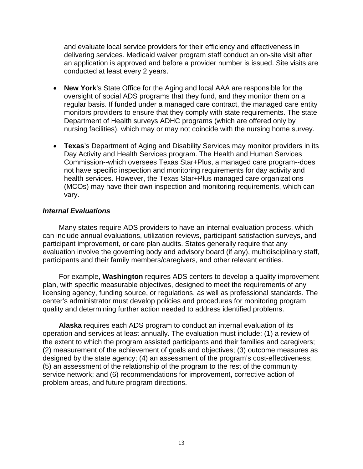and evaluate local service providers for their efficiency and effectiveness in delivering services. Medicaid waiver program staff conduct an on-site visit after an application is approved and before a provider number is issued. Site visits are conducted at least every 2 years.

- **New York**'s State Office for the Aging and local AAA are responsible for the oversight of social ADS programs that they fund, and they monitor them on a regular basis. If funded under a managed care contract, the managed care entity monitors providers to ensure that they comply with state requirements. The state Department of Health surveys ADHC programs (which are offered only by nursing facilities), which may or may not coincide with the nursing home survey.
- **Texas**'s Department of Aging and Disability Services may monitor providers in its Day Activity and Health Services program. The Health and Human Services Commission--which oversees Texas Star+Plus, a managed care program--does not have specific inspection and monitoring requirements for day activity and health services. However, the Texas Star+Plus managed care organizations (MCOs) may have their own inspection and monitoring requirements, which can vary.

#### *Internal Evaluations*

Many states require ADS providers to have an internal evaluation process, which can include annual evaluations, utilization reviews, participant satisfaction surveys, and participant improvement, or care plan audits. States generally require that any evaluation involve the governing body and advisory board (if any), multidisciplinary staff, participants and their family members/caregivers, and other relevant entities.

For example, **Washington** requires ADS centers to develop a quality improvement plan, with specific measurable objectives, designed to meet the requirements of any licensing agency, funding source, or regulations, as well as professional standards. The center's administrator must develop policies and procedures for monitoring program quality and determining further action needed to address identified problems.

**Alaska** requires each ADS program to conduct an internal evaluation of its operation and services at least annually. The evaluation must include: (1) a review of the extent to which the program assisted participants and their families and caregivers; (2) measurement of the achievement of goals and objectives; (3) outcome measures as designed by the state agency; (4) an assessment of the program's cost-effectiveness; (5) an assessment of the relationship of the program to the rest of the community service network; and (6) recommendations for improvement, corrective action of problem areas, and future program directions.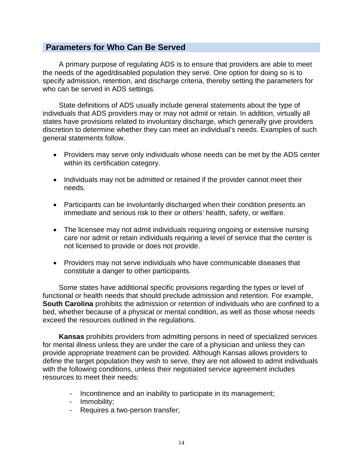#### **Parameters for Who Can Be Served**

A primary purpose of regulating ADS is to ensure that providers are able to meet the needs of the aged/disabled population they serve. One option for doing so is to specify admission, retention, and discharge criteria, thereby setting the parameters for who can be served in ADS settings.

State definitions of ADS usually include general statements about the type of individuals that ADS providers may or may not admit or retain. In addition, virtually all states have provisions related to involuntary discharge, which generally give providers discretion to determine whether they can meet an individual's needs. Examples of such general statements follow.

- Providers may serve only individuals whose needs can be met by the ADS center within its certification category.
- Individuals may not be admitted or retained if the provider cannot meet their needs.
- Participants can be involuntarily discharged when their condition presents an immediate and serious risk to their or others' health, safety, or welfare.
- The licensee may not admit individuals requiring ongoing or extensive nursing care nor admit or retain individuals requiring a level of service that the center is not licensed to provide or does not provide.
- Providers may not serve individuals who have communicable diseases that constitute a danger to other participants.

Some states have additional specific provisions regarding the types or level of functional or health needs that should preclude admission and retention. For example, **South Carolina** prohibits the admission or retention of individuals who are confined to a bed, whether because of a physical or mental condition, as well as those whose needs exceed the resources outlined in the regulations.

**Kansas** prohibits providers from admitting persons in need of specialized services for mental illness unless they are under the care of a physician and unless they can provide appropriate treatment can be provided. Although Kansas allows providers to define the target population they wish to serve, they are not allowed to admit individuals with the following conditions, unless their negotiated service agreement includes resources to meet their needs:

- Incontinence and an inability to participate in its management;
- Immobility;
- Requires a two-person transfer;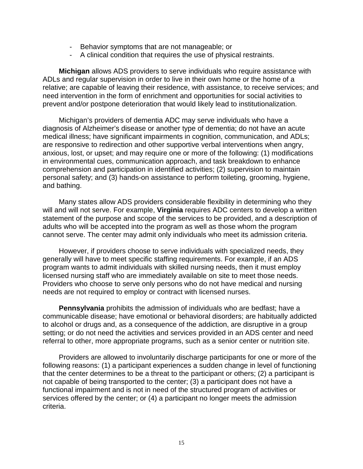- Behavior symptoms that are not manageable; or
- A clinical condition that requires the use of physical restraints.

**Michigan** allows ADS providers to serve individuals who require assistance with ADLs and regular supervision in order to live in their own home or the home of a relative; are capable of leaving their residence, with assistance, to receive services; and need intervention in the form of enrichment and opportunities for social activities to prevent and/or postpone deterioration that would likely lead to institutionalization.

Michigan's providers of dementia ADC may serve individuals who have a diagnosis of Alzheimer's disease or another type of dementia; do not have an acute medical illness; have significant impairments in cognition, communication, and ADLs; are responsive to redirection and other supportive verbal interventions when angry, anxious, lost, or upset; and may require one or more of the following: (1) modifications in environmental cues, communication approach, and task breakdown to enhance comprehension and participation in identified activities; (2) supervision to maintain personal safety; and (3) hands-on assistance to perform toileting, grooming, hygiene, and bathing.

Many states allow ADS providers considerable flexibility in determining who they will and will not serve. For example, **Virginia** requires ADC centers to develop a written statement of the purpose and scope of the services to be provided, and a description of adults who will be accepted into the program as well as those whom the program cannot serve. The center may admit only individuals who meet its admission criteria.

However, if providers choose to serve individuals with specialized needs, they generally will have to meet specific staffing requirements. For example, if an ADS program wants to admit individuals with skilled nursing needs, then it must employ licensed nursing staff who are immediately available on site to meet those needs. Providers who choose to serve only persons who do not have medical and nursing needs are not required to employ or contract with licensed nurses.

**Pennsylvania** prohibits the admission of individuals who are bedfast; have a communicable disease; have emotional or behavioral disorders; are habitually addicted to alcohol or drugs and, as a consequence of the addiction, are disruptive in a group setting; or do not need the activities and services provided in an ADS center and need referral to other, more appropriate programs, such as a senior center or nutrition site.

Providers are allowed to involuntarily discharge participants for one or more of the following reasons: (1) a participant experiences a sudden change in level of functioning that the center determines to be a threat to the participant or others; (2) a participant is not capable of being transported to the center; (3) a participant does not have a functional impairment and is not in need of the structured program of activities or services offered by the center; or (4) a participant no longer meets the admission criteria.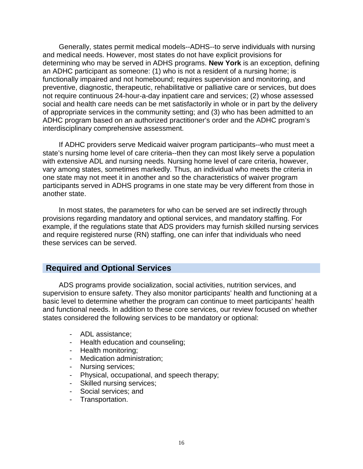Generally, states permit medical models--ADHS--to serve individuals with nursing and medical needs. However, most states do not have explicit provisions for determining who may be served in ADHS programs. **New York** is an exception, defining an ADHC participant as someone: (1) who is not a resident of a nursing home; is functionally impaired and not homebound; requires supervision and monitoring, and preventive, diagnostic, therapeutic, rehabilitative or palliative care or services, but does not require continuous 24-hour-a-day inpatient care and services; (2) whose assessed social and health care needs can be met satisfactorily in whole or in part by the delivery of appropriate services in the community setting; and (3) who has been admitted to an ADHC program based on an authorized practitioner's order and the ADHC program's interdisciplinary comprehensive assessment.

If ADHC providers serve Medicaid waiver program participants--who must meet a state's nursing home level of care criteria--then they can most likely serve a population with extensive ADL and nursing needs. Nursing home level of care criteria, however, vary among states, sometimes markedly. Thus, an individual who meets the criteria in one state may not meet it in another and so the characteristics of waiver program participants served in ADHS programs in one state may be very different from those in another state.

In most states, the parameters for who can be served are set indirectly through provisions regarding mandatory and optional services, and mandatory staffing. For example, if the regulations state that ADS providers may furnish skilled nursing services and require registered nurse (RN) staffing, one can infer that individuals who need these services can be served.

#### **Required and Optional Services**

ADS programs provide socialization, social activities, nutrition services, and supervision to ensure safety. They also monitor participants' health and functioning at a basic level to determine whether the program can continue to meet participants' health and functional needs. In addition to these core services, our review focused on whether states considered the following services to be mandatory or optional:

- ADL assistance;
- Health education and counseling;
- Health monitoring;
- Medication administration;
- Nursing services;
- Physical, occupational, and speech therapy;
- Skilled nursing services;
- Social services; and
- Transportation.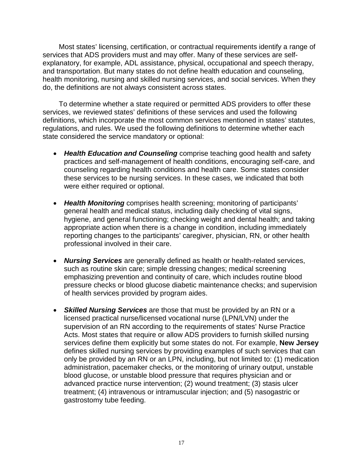Most states' licensing, certification, or contractual requirements identify a range of services that ADS providers must and may offer. Many of these services are selfexplanatory, for example, ADL assistance, physical, occupational and speech therapy, and transportation. But many states do not define health education and counseling, health monitoring, nursing and skilled nursing services, and social services. When they do, the definitions are not always consistent across states.

To determine whether a state required or permitted ADS providers to offer these services, we reviewed states' definitions of these services and used the following definitions, which incorporate the most common services mentioned in states' statutes, regulations, and rules. We used the following definitions to determine whether each state considered the service mandatory or optional:

- *Health Education and Counseling* comprise teaching good health and safety practices and self-management of health conditions, encouraging self-care, and counseling regarding health conditions and health care. Some states consider these services to be nursing services. In these cases, we indicated that both were either required or optional.
- *Health Monitoring* comprises health screening; monitoring of participants' general health and medical status, including daily checking of vital signs, hygiene, and general functioning; checking weight and dental health; and taking appropriate action when there is a change in condition, including immediately reporting changes to the participants' caregiver, physician, RN, or other health professional involved in their care.
- *Nursing Services* are generally defined as health or health-related services, such as routine skin care; simple dressing changes; medical screening emphasizing prevention and continuity of care, which includes routine blood pressure checks or blood glucose diabetic maintenance checks; and supervision of health services provided by program aides.
- *Skilled Nursing Services* are those that must be provided by an RN or a licensed practical nurse/licensed vocational nurse (LPN/LVN) under the supervision of an RN according to the requirements of states' Nurse Practice Acts. Most states that require or allow ADS providers to furnish skilled nursing services define them explicitly but some states do not. For example, **New Jersey** defines skilled nursing services by providing examples of such services that can only be provided by an RN or an LPN, including, but not limited to: (1) medication administration, pacemaker checks, or the monitoring of urinary output, unstable blood glucose, or unstable blood pressure that requires physician and or advanced practice nurse intervention; (2) wound treatment; (3) stasis ulcer treatment; (4) intravenous or intramuscular injection; and (5) nasogastric or gastrostomy tube feeding.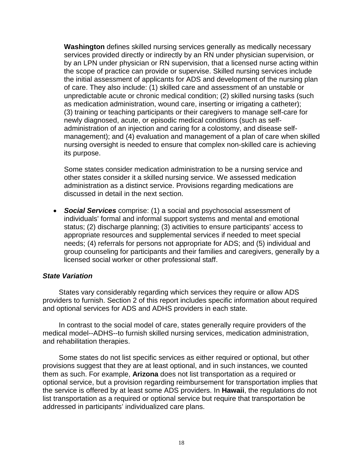**Washington** defines skilled nursing services generally as medically necessary services provided directly or indirectly by an RN under physician supervision, or by an LPN under physician or RN supervision, that a licensed nurse acting within the scope of practice can provide or supervise. Skilled nursing services include the initial assessment of applicants for ADS and development of the nursing plan of care. They also include: (1) skilled care and assessment of an unstable or unpredictable acute or chronic medical condition; (2) skilled nursing tasks (such as medication administration, wound care, inserting or irrigating a catheter); (3) training or teaching participants or their caregivers to manage self-care for newly diagnosed, acute, or episodic medical conditions (such as selfadministration of an injection and caring for a colostomy, and disease selfmanagement); and (4) evaluation and management of a plan of care when skilled nursing oversight is needed to ensure that complex non-skilled care is achieving its purpose.

Some states consider medication administration to be a nursing service and other states consider it a skilled nursing service. We assessed medication administration as a distinct service. Provisions regarding medications are discussed in detail in the next section.

• *Social Services* comprise: (1) a social and psychosocial assessment of individuals' formal and informal support systems and mental and emotional status; (2) discharge planning; (3) activities to ensure participants' access to appropriate resources and supplemental services if needed to meet special needs; (4) referrals for persons not appropriate for ADS; and (5) individual and group counseling for participants and their families and caregivers, generally by a licensed social worker or other professional staff.

#### *State Variation*

States vary considerably regarding which services they require or allow ADS providers to furnish. Section 2 of this report includes specific information about required and optional services for ADS and ADHS providers in each state.

In contrast to the social model of care, states generally require providers of the medical model--ADHS--to furnish skilled nursing services, medication administration, and rehabilitation therapies.

Some states do not list specific services as either required or optional, but other provisions suggest that they are at least optional, and in such instances, we counted them as such. For example, **Arizona** does not list transportation as a required or optional service, but a provision regarding reimbursement for transportation implies that the service is offered by at least some ADS providers. In **Hawaii**, the regulations do not list transportation as a required or optional service but require that transportation be addressed in participants' individualized care plans.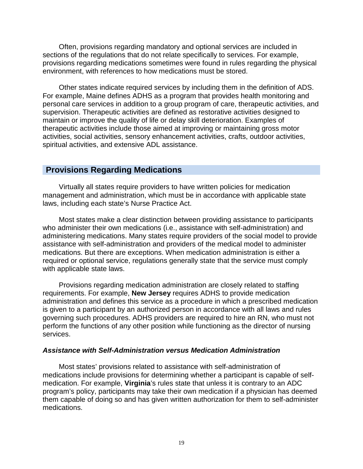Often, provisions regarding mandatory and optional services are included in sections of the regulations that do not relate specifically to services. For example, provisions regarding medications sometimes were found in rules regarding the physical environment, with references to how medications must be stored.

Other states indicate required services by including them in the definition of ADS. For example, Maine defines ADHS as a program that provides health monitoring and personal care services in addition to a group program of care, therapeutic activities, and supervision. Therapeutic activities are defined as restorative activities designed to maintain or improve the quality of life or delay skill deterioration. Examples of therapeutic activities include those aimed at improving or maintaining gross motor activities, social activities, sensory enhancement activities, crafts, outdoor activities, spiritual activities, and extensive ADL assistance.

#### **Provisions Regarding Medications**

Virtually all states require providers to have written policies for medication management and administration, which must be in accordance with applicable state laws, including each state's Nurse Practice Act.

Most states make a clear distinction between providing assistance to participants who administer their own medications (i.e., assistance with self-administration) and administering medications. Many states require providers of the social model to provide assistance with self-administration and providers of the medical model to administer medications. But there are exceptions. When medication administration is either a required or optional service, regulations generally state that the service must comply with applicable state laws.

Provisions regarding medication administration are closely related to staffing requirements. For example, **New Jersey** requires ADHS to provide medication administration and defines this service as a procedure in which a prescribed medication is given to a participant by an authorized person in accordance with all laws and rules governing such procedures. ADHS providers are required to hire an RN, who must not perform the functions of any other position while functioning as the director of nursing services.

#### *Assistance with Self-Administration versus Medication Administration*

Most states' provisions related to assistance with self-administration of medications include provisions for determining whether a participant is capable of selfmedication. For example, **Virginia**'s rules state that unless it is contrary to an ADC program's policy, participants may take their own medication if a physician has deemed them capable of doing so and has given written authorization for them to self-administer medications.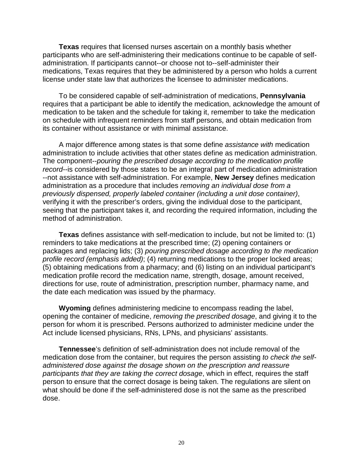**Texas** requires that licensed nurses ascertain on a monthly basis whether participants who are self-administering their medications continue to be capable of selfadministration. If participants cannot--or choose not to--self-administer their medications, Texas requires that they be administered by a person who holds a current license under state law that authorizes the licensee to administer medications.

To be considered capable of self-administration of medications, **Pennsylvania** requires that a participant be able to identify the medication, acknowledge the amount of medication to be taken and the schedule for taking it, remember to take the medication on schedule with infrequent reminders from staff persons, and obtain medication from its container without assistance or with minimal assistance.

A major difference among states is that some define *assistance with* medication administration to include activities that other states define as medication administration. The component--*pouring the prescribed dosage according to the medication profile record*--is considered by those states to be an integral part of medication administration --not assistance with self-administration. For example, **New Jersey** defines medication administration as a procedure that includes *removing an individual dose from a previously dispensed, properly labeled container (including a unit dose container)*, verifying it with the prescriber's orders, giving the individual dose to the participant, seeing that the participant takes it, and recording the required information, including the method of administration.

**Texas** defines assistance with self-medication to include, but not be limited to: (1) reminders to take medications at the prescribed time; (2) opening containers or packages and replacing lids; (3) *pouring prescribed dosage according to the medication profile record (emphasis added)*; (4) returning medications to the proper locked areas; (5) obtaining medications from a pharmacy; and (6) listing on an individual participant's medication profile record the medication name, strength, dosage, amount received, directions for use, route of administration, prescription number, pharmacy name, and the date each medication was issued by the pharmacy.

**Wyoming** defines administering medicine to encompass reading the label, opening the container of medicine, *removing the prescribed dosage*, and giving it to the person for whom it is prescribed. Persons authorized to administer medicine under the Act include licensed physicians, RNs, LPNs, and physicians' assistants.

**Tennessee**'s definition of self-administration does not include removal of the medication dose from the container, but requires the person assisting *to check the selfadministered dose against the dosage shown on the prescription and reassure participants that they are taking the correct dosage*, which in effect, requires the staff person to ensure that the correct dosage is being taken. The regulations are silent on what should be done if the self-administered dose is not the same as the prescribed dose.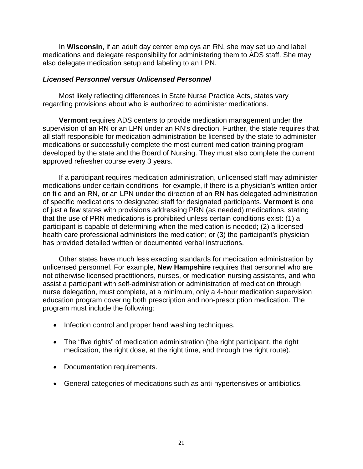In **Wisconsin**, if an adult day center employs an RN, she may set up and label medications and delegate responsibility for administering them to ADS staff. She may also delegate medication setup and labeling to an LPN.

#### *Licensed Personnel versus Unlicensed Personnel*

Most likely reflecting differences in State Nurse Practice Acts, states vary regarding provisions about who is authorized to administer medications.

**Vermont** requires ADS centers to provide medication management under the supervision of an RN or an LPN under an RN's direction. Further, the state requires that all staff responsible for medication administration be licensed by the state to administer medications or successfully complete the most current medication training program developed by the state and the Board of Nursing. They must also complete the current approved refresher course every 3 years.

If a participant requires medication administration, unlicensed staff may administer medications under certain conditions--for example, if there is a physician's written order on file and an RN, or an LPN under the direction of an RN has delegated administration of specific medications to designated staff for designated participants. **Vermont** is one of just a few states with provisions addressing PRN (as needed) medications, stating that the use of PRN medications is prohibited unless certain conditions exist: (1) a participant is capable of determining when the medication is needed; (2) a licensed health care professional administers the medication; or (3) the participant's physician has provided detailed written or documented verbal instructions.

Other states have much less exacting standards for medication administration by unlicensed personnel. For example, **New Hampshire** requires that personnel who are not otherwise licensed practitioners, nurses, or medication nursing assistants, and who assist a participant with self-administration or administration of medication through nurse delegation, must complete, at a minimum, only a 4-hour medication supervision education program covering both prescription and non-prescription medication. The program must include the following:

- Infection control and proper hand washing techniques.
- The "five rights" of medication administration (the right participant, the right medication, the right dose, at the right time, and through the right route).
- Documentation requirements.
- General categories of medications such as anti-hypertensives or antibiotics.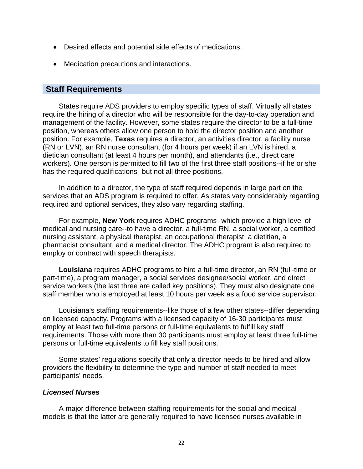- Desired effects and potential side effects of medications.
- Medication precautions and interactions.

#### **Staff Requirements**

States require ADS providers to employ specific types of staff. Virtually all states require the hiring of a director who will be responsible for the day-to-day operation and management of the facility. However, some states require the director to be a full-time position, whereas others allow one person to hold the director position and another position. For example, **Texas** requires a director, an activities director, a facility nurse (RN or LVN), an RN nurse consultant (for 4 hours per week) if an LVN is hired, a dietician consultant (at least 4 hours per month), and attendants (i.e., direct care workers). One person is permitted to fill two of the first three staff positions--if he or she has the required qualifications--but not all three positions.

In addition to a director, the type of staff required depends in large part on the services that an ADS program is required to offer. As states vary considerably regarding required and optional services, they also vary regarding staffing.

For example, **New York** requires ADHC programs--which provide a high level of medical and nursing care--to have a director, a full-time RN, a social worker, a certified nursing assistant, a physical therapist, an occupational therapist, a dietitian, a pharmacist consultant, and a medical director. The ADHC program is also required to employ or contract with speech therapists.

**Louisiana** requires ADHC programs to hire a full-time director, an RN (full-time or part-time), a program manager, a social services designee/social worker, and direct service workers (the last three are called key positions). They must also designate one staff member who is employed at least 10 hours per week as a food service supervisor.

Louisiana's staffing requirements--like those of a few other states--differ depending on licensed capacity. Programs with a licensed capacity of 16-30 participants must employ at least two full-time persons or full-time equivalents to fulfill key staff requirements. Those with more than 30 participants must employ at least three full-time persons or full-time equivalents to fill key staff positions.

Some states' regulations specify that only a director needs to be hired and allow providers the flexibility to determine the type and number of staff needed to meet participants' needs.

#### *Licensed Nurses*

A major difference between staffing requirements for the social and medical models is that the latter are generally required to have licensed nurses available in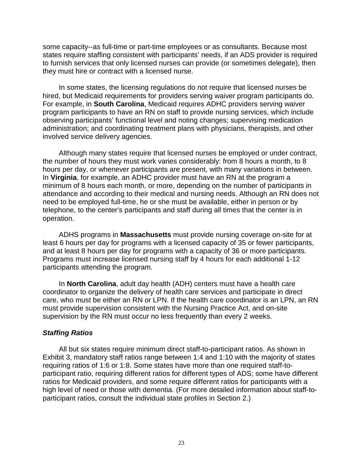some capacity--as full-time or part-time employees or as consultants. Because most states require staffing consistent with participants' needs, if an ADS provider is required to furnish services that only licensed nurses can provide (or sometimes delegate), then they must hire or contract with a licensed nurse.

In some states, the licensing regulations do not require that licensed nurses be hired, but Medicaid requirements for providers serving waiver program participants do. For example, in **South Carolina**, Medicaid requires ADHC providers serving waiver program participants to have an RN on staff to provide nursing services, which include observing participants' functional level and noting changes; supervising medication administration; and coordinating treatment plans with physicians, therapists, and other involved service delivery agencies.

Although many states require that licensed nurses be employed or under contract, the number of hours they must work varies considerably: from 8 hours a month, to 8 hours per day, or whenever participants are present, with many variations in between. In **Virginia**, for example, an ADHC provider must have an RN at the program a minimum of 8 hours each month, or more, depending on the number of participants in attendance and according to their medical and nursing needs. Although an RN does not need to be employed full-time, he or she must be available, either in person or by telephone, to the center's participants and staff during all times that the center is in operation.

ADHS programs in **Massachusetts** must provide nursing coverage on-site for at least 6 hours per day for programs with a licensed capacity of 35 or fewer participants, and at least 8 hours per day for programs with a capacity of 36 or more participants. Programs must increase licensed nursing staff by 4 hours for each additional 1-12 participants attending the program.

In **North Carolina**, adult day health (ADH) centers must have a health care coordinator to organize the delivery of health care services and participate in direct care, who must be either an RN or LPN. If the health care coordinator is an LPN, an RN must provide supervision consistent with the Nursing Practice Act, and on-site supervision by the RN must occur no less frequently than every 2 weeks.

#### *Staffing Ratios*

All but six states require minimum direct staff-to-participant ratios. As shown in Exhibit 3, mandatory staff ratios range between 1:4 and 1:10 with the majority of states requiring ratios of 1:6 or 1:8. Some states have more than one required staff-toparticipant ratio, requiring different ratios for different types of ADS; some have different ratios for Medicaid providers, and some require different ratios for participants with a high level of need or those with dementia. (For more detailed information about staff-toparticipant ratios, consult the individual state profiles in Section 2.)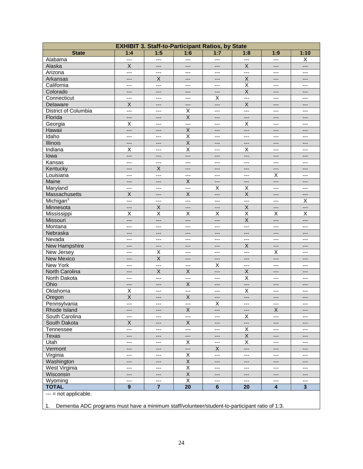| 1:5<br><b>State</b><br>1:4<br>1:6<br>1:7<br>1:8<br>1:9<br><br>---<br>$\overline{a}$<br>$\overline{a}$<br>$\overline{a}$<br>$\overline{a}$<br>Alabama<br>$\mathsf X$<br>Alaska<br>X<br>---<br>$---$<br>$---$<br>---<br>Arizona<br>---<br>---<br>---<br>---<br>---<br>---<br>$\mathsf X$<br>X<br>Arkansas<br>---<br>---<br>$---$<br>---<br>$\overline{\mathsf{x}}$<br>California<br>$\overline{a}$<br>---<br>---<br>$---$<br>$---$<br>$\overline{X}$<br>Colorado<br>---<br>$---$<br>---<br>$---$<br>---<br>Connecticut<br>Χ<br>---<br>---<br>$---$<br>---<br>---<br>$\sf X$<br>X<br>Delaware<br>$---$<br>---<br>$---$<br>---<br>District of Columbia<br>X<br>$---$<br>$\overline{a}$<br>$---$<br>$---$<br>$---$<br>$\overline{X}$<br>Florida<br>---<br>---<br>$---$<br>$---$<br>$---$<br>X<br>X<br>Georgia<br>$---$<br>$---$<br>---<br>---<br>$\overline{\mathsf{x}}$<br>Hawaii<br>---<br>---<br>---<br>---<br>---<br>Idaho<br>$\pmb{\times}$<br>---<br>$\qquad \qquad -$<br>$---$<br>---<br>$---$<br>$\overline{X}$<br>Illinois<br>---<br>$---$<br>$---$<br>---<br>---<br>$\overline{\mathsf{x}}$<br>Indiana<br>X<br>X<br>$---$<br>$---$<br>---<br>lowa<br>---<br>---<br>---<br>$---$<br>$---$<br>---<br>Kansas<br>---<br>---<br>$---$<br>$---$<br>---<br>---<br>Kentucky<br>X<br>---<br>$---$<br>$---$<br>---<br>$---$<br>X<br>Louisiana<br>$\qquad \qquad -$<br>---<br>---<br>$---$<br>$\overline{a}$<br>$\sf X$<br>Maine<br>---<br>---<br>---<br>---<br>---<br>$\overline{\mathsf{x}}$<br>X<br>Maryland<br>---<br>---<br>---<br>---<br>$\overline{\mathsf{x}}$<br>$\overline{X}$<br>$\overline{X}$<br>Massachusetts<br>$---$<br>$---$<br>$---$<br>Michigan <sup>1</sup><br>$\overline{a}$<br>---<br>---<br>$\scriptstyle\cdots$<br>$---$<br>$\hspace{0.05cm} \ldots$<br>Minnesota<br>X<br>X<br>---<br>---<br>---<br>---<br>$\overline{\mathsf{x}}$<br>$\overline{\mathsf{x}}$<br>$\overline{\mathsf{x}}$<br>$\overline{\mathsf{x}}$<br>X<br>X<br>Mississippi |          |     | <b>EXHIBIT 3. Staff-to-Participant Ratios, by State</b> |     |       |                         |       |                           |
|----------------------------------------------------------------------------------------------------------------------------------------------------------------------------------------------------------------------------------------------------------------------------------------------------------------------------------------------------------------------------------------------------------------------------------------------------------------------------------------------------------------------------------------------------------------------------------------------------------------------------------------------------------------------------------------------------------------------------------------------------------------------------------------------------------------------------------------------------------------------------------------------------------------------------------------------------------------------------------------------------------------------------------------------------------------------------------------------------------------------------------------------------------------------------------------------------------------------------------------------------------------------------------------------------------------------------------------------------------------------------------------------------------------------------------------------------------------------------------------------------------------------------------------------------------------------------------------------------------------------------------------------------------------------------------------------------------------------------------------------------------------------------------------------------------------------------------------------------------------------------------------------------------------------------------------------------------------|----------|-----|---------------------------------------------------------|-----|-------|-------------------------|-------|---------------------------|
|                                                                                                                                                                                                                                                                                                                                                                                                                                                                                                                                                                                                                                                                                                                                                                                                                                                                                                                                                                                                                                                                                                                                                                                                                                                                                                                                                                                                                                                                                                                                                                                                                                                                                                                                                                                                                                                                                                                                                                |          |     |                                                         |     |       |                         |       | 1:10                      |
|                                                                                                                                                                                                                                                                                                                                                                                                                                                                                                                                                                                                                                                                                                                                                                                                                                                                                                                                                                                                                                                                                                                                                                                                                                                                                                                                                                                                                                                                                                                                                                                                                                                                                                                                                                                                                                                                                                                                                                |          |     |                                                         |     |       |                         |       | X                         |
|                                                                                                                                                                                                                                                                                                                                                                                                                                                                                                                                                                                                                                                                                                                                                                                                                                                                                                                                                                                                                                                                                                                                                                                                                                                                                                                                                                                                                                                                                                                                                                                                                                                                                                                                                                                                                                                                                                                                                                |          |     |                                                         |     |       |                         |       | ---                       |
|                                                                                                                                                                                                                                                                                                                                                                                                                                                                                                                                                                                                                                                                                                                                                                                                                                                                                                                                                                                                                                                                                                                                                                                                                                                                                                                                                                                                                                                                                                                                                                                                                                                                                                                                                                                                                                                                                                                                                                |          |     |                                                         |     |       |                         |       | ---                       |
|                                                                                                                                                                                                                                                                                                                                                                                                                                                                                                                                                                                                                                                                                                                                                                                                                                                                                                                                                                                                                                                                                                                                                                                                                                                                                                                                                                                                                                                                                                                                                                                                                                                                                                                                                                                                                                                                                                                                                                |          |     |                                                         |     |       |                         |       | ---                       |
|                                                                                                                                                                                                                                                                                                                                                                                                                                                                                                                                                                                                                                                                                                                                                                                                                                                                                                                                                                                                                                                                                                                                                                                                                                                                                                                                                                                                                                                                                                                                                                                                                                                                                                                                                                                                                                                                                                                                                                |          |     |                                                         |     |       |                         |       | ---                       |
|                                                                                                                                                                                                                                                                                                                                                                                                                                                                                                                                                                                                                                                                                                                                                                                                                                                                                                                                                                                                                                                                                                                                                                                                                                                                                                                                                                                                                                                                                                                                                                                                                                                                                                                                                                                                                                                                                                                                                                |          |     |                                                         |     |       |                         |       | ---                       |
|                                                                                                                                                                                                                                                                                                                                                                                                                                                                                                                                                                                                                                                                                                                                                                                                                                                                                                                                                                                                                                                                                                                                                                                                                                                                                                                                                                                                                                                                                                                                                                                                                                                                                                                                                                                                                                                                                                                                                                |          |     |                                                         |     |       |                         |       | ---                       |
|                                                                                                                                                                                                                                                                                                                                                                                                                                                                                                                                                                                                                                                                                                                                                                                                                                                                                                                                                                                                                                                                                                                                                                                                                                                                                                                                                                                                                                                                                                                                                                                                                                                                                                                                                                                                                                                                                                                                                                |          |     |                                                         |     |       |                         |       | ---                       |
|                                                                                                                                                                                                                                                                                                                                                                                                                                                                                                                                                                                                                                                                                                                                                                                                                                                                                                                                                                                                                                                                                                                                                                                                                                                                                                                                                                                                                                                                                                                                                                                                                                                                                                                                                                                                                                                                                                                                                                |          |     |                                                         |     |       |                         |       | ---                       |
|                                                                                                                                                                                                                                                                                                                                                                                                                                                                                                                                                                                                                                                                                                                                                                                                                                                                                                                                                                                                                                                                                                                                                                                                                                                                                                                                                                                                                                                                                                                                                                                                                                                                                                                                                                                                                                                                                                                                                                |          |     |                                                         |     |       |                         |       | ---                       |
|                                                                                                                                                                                                                                                                                                                                                                                                                                                                                                                                                                                                                                                                                                                                                                                                                                                                                                                                                                                                                                                                                                                                                                                                                                                                                                                                                                                                                                                                                                                                                                                                                                                                                                                                                                                                                                                                                                                                                                |          |     |                                                         |     |       |                         |       | ---                       |
|                                                                                                                                                                                                                                                                                                                                                                                                                                                                                                                                                                                                                                                                                                                                                                                                                                                                                                                                                                                                                                                                                                                                                                                                                                                                                                                                                                                                                                                                                                                                                                                                                                                                                                                                                                                                                                                                                                                                                                |          |     |                                                         |     |       |                         |       | ---                       |
|                                                                                                                                                                                                                                                                                                                                                                                                                                                                                                                                                                                                                                                                                                                                                                                                                                                                                                                                                                                                                                                                                                                                                                                                                                                                                                                                                                                                                                                                                                                                                                                                                                                                                                                                                                                                                                                                                                                                                                |          |     |                                                         |     |       |                         |       | ---                       |
|                                                                                                                                                                                                                                                                                                                                                                                                                                                                                                                                                                                                                                                                                                                                                                                                                                                                                                                                                                                                                                                                                                                                                                                                                                                                                                                                                                                                                                                                                                                                                                                                                                                                                                                                                                                                                                                                                                                                                                |          |     |                                                         |     |       |                         |       | ---                       |
|                                                                                                                                                                                                                                                                                                                                                                                                                                                                                                                                                                                                                                                                                                                                                                                                                                                                                                                                                                                                                                                                                                                                                                                                                                                                                                                                                                                                                                                                                                                                                                                                                                                                                                                                                                                                                                                                                                                                                                |          |     |                                                         |     |       |                         |       | ---                       |
|                                                                                                                                                                                                                                                                                                                                                                                                                                                                                                                                                                                                                                                                                                                                                                                                                                                                                                                                                                                                                                                                                                                                                                                                                                                                                                                                                                                                                                                                                                                                                                                                                                                                                                                                                                                                                                                                                                                                                                |          |     |                                                         |     |       |                         |       | ---                       |
|                                                                                                                                                                                                                                                                                                                                                                                                                                                                                                                                                                                                                                                                                                                                                                                                                                                                                                                                                                                                                                                                                                                                                                                                                                                                                                                                                                                                                                                                                                                                                                                                                                                                                                                                                                                                                                                                                                                                                                |          |     |                                                         |     |       |                         |       | ---                       |
|                                                                                                                                                                                                                                                                                                                                                                                                                                                                                                                                                                                                                                                                                                                                                                                                                                                                                                                                                                                                                                                                                                                                                                                                                                                                                                                                                                                                                                                                                                                                                                                                                                                                                                                                                                                                                                                                                                                                                                |          |     |                                                         |     |       |                         |       | ---                       |
|                                                                                                                                                                                                                                                                                                                                                                                                                                                                                                                                                                                                                                                                                                                                                                                                                                                                                                                                                                                                                                                                                                                                                                                                                                                                                                                                                                                                                                                                                                                                                                                                                                                                                                                                                                                                                                                                                                                                                                |          |     |                                                         |     |       |                         |       | ---                       |
|                                                                                                                                                                                                                                                                                                                                                                                                                                                                                                                                                                                                                                                                                                                                                                                                                                                                                                                                                                                                                                                                                                                                                                                                                                                                                                                                                                                                                                                                                                                                                                                                                                                                                                                                                                                                                                                                                                                                                                |          |     |                                                         |     |       |                         |       | ---                       |
|                                                                                                                                                                                                                                                                                                                                                                                                                                                                                                                                                                                                                                                                                                                                                                                                                                                                                                                                                                                                                                                                                                                                                                                                                                                                                                                                                                                                                                                                                                                                                                                                                                                                                                                                                                                                                                                                                                                                                                |          |     |                                                         |     |       |                         |       | ---                       |
|                                                                                                                                                                                                                                                                                                                                                                                                                                                                                                                                                                                                                                                                                                                                                                                                                                                                                                                                                                                                                                                                                                                                                                                                                                                                                                                                                                                                                                                                                                                                                                                                                                                                                                                                                                                                                                                                                                                                                                |          |     |                                                         |     |       |                         |       | ---                       |
|                                                                                                                                                                                                                                                                                                                                                                                                                                                                                                                                                                                                                                                                                                                                                                                                                                                                                                                                                                                                                                                                                                                                                                                                                                                                                                                                                                                                                                                                                                                                                                                                                                                                                                                                                                                                                                                                                                                                                                |          |     |                                                         |     |       |                         |       | X                         |
|                                                                                                                                                                                                                                                                                                                                                                                                                                                                                                                                                                                                                                                                                                                                                                                                                                                                                                                                                                                                                                                                                                                                                                                                                                                                                                                                                                                                                                                                                                                                                                                                                                                                                                                                                                                                                                                                                                                                                                |          |     |                                                         |     |       |                         |       | ---                       |
|                                                                                                                                                                                                                                                                                                                                                                                                                                                                                                                                                                                                                                                                                                                                                                                                                                                                                                                                                                                                                                                                                                                                                                                                                                                                                                                                                                                                                                                                                                                                                                                                                                                                                                                                                                                                                                                                                                                                                                |          |     |                                                         |     |       |                         |       | $\overline{\mathsf{x}}$   |
|                                                                                                                                                                                                                                                                                                                                                                                                                                                                                                                                                                                                                                                                                                                                                                                                                                                                                                                                                                                                                                                                                                                                                                                                                                                                                                                                                                                                                                                                                                                                                                                                                                                                                                                                                                                                                                                                                                                                                                | Missouri | --- | $---$                                                   | --- | $---$ | $\overline{\mathsf{X}}$ | $---$ | ---                       |
| Montana<br>---<br>---<br>$---$<br>---<br>---<br>$---$                                                                                                                                                                                                                                                                                                                                                                                                                                                                                                                                                                                                                                                                                                                                                                                                                                                                                                                                                                                                                                                                                                                                                                                                                                                                                                                                                                                                                                                                                                                                                                                                                                                                                                                                                                                                                                                                                                          |          |     |                                                         |     |       |                         |       | ---                       |
| Nebraska<br>---<br>$---$<br>---<br>$---$<br>---<br>---                                                                                                                                                                                                                                                                                                                                                                                                                                                                                                                                                                                                                                                                                                                                                                                                                                                                                                                                                                                                                                                                                                                                                                                                                                                                                                                                                                                                                                                                                                                                                                                                                                                                                                                                                                                                                                                                                                         |          |     |                                                         |     |       |                         |       | ---                       |
| Nevada<br>---<br>---<br>$---$<br>---<br>$---$<br>---                                                                                                                                                                                                                                                                                                                                                                                                                                                                                                                                                                                                                                                                                                                                                                                                                                                                                                                                                                                                                                                                                                                                                                                                                                                                                                                                                                                                                                                                                                                                                                                                                                                                                                                                                                                                                                                                                                           |          |     |                                                         |     |       |                         |       | ---                       |
| $\mathsf X$<br>New Hampshire<br>$---$<br>---<br>---<br>---<br>---                                                                                                                                                                                                                                                                                                                                                                                                                                                                                                                                                                                                                                                                                                                                                                                                                                                                                                                                                                                                                                                                                                                                                                                                                                                                                                                                                                                                                                                                                                                                                                                                                                                                                                                                                                                                                                                                                              |          |     |                                                         |     |       |                         |       | ---                       |
| X<br>New Jersey<br>Χ<br>$\overline{a}$<br>$---$<br>$---$<br>---                                                                                                                                                                                                                                                                                                                                                                                                                                                                                                                                                                                                                                                                                                                                                                                                                                                                                                                                                                                                                                                                                                                                                                                                                                                                                                                                                                                                                                                                                                                                                                                                                                                                                                                                                                                                                                                                                                |          |     |                                                         |     |       |                         |       | ---                       |
| $\overline{\mathsf{x}}$<br>New Mexico<br>---<br>---<br>$---$<br>---<br>---                                                                                                                                                                                                                                                                                                                                                                                                                                                                                                                                                                                                                                                                                                                                                                                                                                                                                                                                                                                                                                                                                                                                                                                                                                                                                                                                                                                                                                                                                                                                                                                                                                                                                                                                                                                                                                                                                     |          |     |                                                         |     |       |                         |       | ---                       |
| <b>New York</b><br>X<br>$---$<br>$---$<br>---<br>---<br>---                                                                                                                                                                                                                                                                                                                                                                                                                                                                                                                                                                                                                                                                                                                                                                                                                                                                                                                                                                                                                                                                                                                                                                                                                                                                                                                                                                                                                                                                                                                                                                                                                                                                                                                                                                                                                                                                                                    |          |     |                                                         |     |       |                         |       | ---                       |
| North Carolina<br>X<br>X<br>X<br>---<br>---<br>$---$                                                                                                                                                                                                                                                                                                                                                                                                                                                                                                                                                                                                                                                                                                                                                                                                                                                                                                                                                                                                                                                                                                                                                                                                                                                                                                                                                                                                                                                                                                                                                                                                                                                                                                                                                                                                                                                                                                           |          |     |                                                         |     |       |                         |       | ---                       |
| $\pmb{\times}$<br>North Dakota<br>$---$<br>$\overline{a}$<br>---<br>$\overline{a}$<br>$\overline{a}$                                                                                                                                                                                                                                                                                                                                                                                                                                                                                                                                                                                                                                                                                                                                                                                                                                                                                                                                                                                                                                                                                                                                                                                                                                                                                                                                                                                                                                                                                                                                                                                                                                                                                                                                                                                                                                                           |          |     |                                                         |     |       |                         |       | ---                       |
| $\overline{X}$<br>Ohio<br>$---$<br>---<br>$---$<br>$---$<br>---                                                                                                                                                                                                                                                                                                                                                                                                                                                                                                                                                                                                                                                                                                                                                                                                                                                                                                                                                                                                                                                                                                                                                                                                                                                                                                                                                                                                                                                                                                                                                                                                                                                                                                                                                                                                                                                                                                |          |     |                                                         |     |       |                         |       | ---                       |
| X<br>Oklahoma<br>X<br>---<br>---<br>$---$<br>---                                                                                                                                                                                                                                                                                                                                                                                                                                                                                                                                                                                                                                                                                                                                                                                                                                                                                                                                                                                                                                                                                                                                                                                                                                                                                                                                                                                                                                                                                                                                                                                                                                                                                                                                                                                                                                                                                                               |          |     |                                                         |     |       |                         |       | ---                       |
| $\overline{X}$<br>$\overline{X}$<br>Oregon<br>$---$<br>---<br>---<br>---                                                                                                                                                                                                                                                                                                                                                                                                                                                                                                                                                                                                                                                                                                                                                                                                                                                                                                                                                                                                                                                                                                                                                                                                                                                                                                                                                                                                                                                                                                                                                                                                                                                                                                                                                                                                                                                                                       |          |     |                                                         |     |       |                         |       | ---                       |
| Χ<br>Pennsylvania<br>$---$<br>$\overline{a}$<br>$---$<br>$\qquad \qquad -$<br>$---$                                                                                                                                                                                                                                                                                                                                                                                                                                                                                                                                                                                                                                                                                                                                                                                                                                                                                                                                                                                                                                                                                                                                                                                                                                                                                                                                                                                                                                                                                                                                                                                                                                                                                                                                                                                                                                                                            |          |     |                                                         |     |       |                         |       | $---$                     |
| $\mathsf X$<br>Rhode Island<br>X<br>---<br>---<br>---<br>---                                                                                                                                                                                                                                                                                                                                                                                                                                                                                                                                                                                                                                                                                                                                                                                                                                                                                                                                                                                                                                                                                                                                                                                                                                                                                                                                                                                                                                                                                                                                                                                                                                                                                                                                                                                                                                                                                                   |          |     |                                                         |     |       |                         |       | ---                       |
| X<br>South Carolina<br>---<br>---<br>---<br>---<br>$---$                                                                                                                                                                                                                                                                                                                                                                                                                                                                                                                                                                                                                                                                                                                                                                                                                                                                                                                                                                                                                                                                                                                                                                                                                                                                                                                                                                                                                                                                                                                                                                                                                                                                                                                                                                                                                                                                                                       |          |     |                                                         |     |       |                         |       | ---                       |
| $\boldsymbol{\mathsf{X}}$<br>X<br>South Dakota<br>---<br>---<br>$---$<br>$---$                                                                                                                                                                                                                                                                                                                                                                                                                                                                                                                                                                                                                                                                                                                                                                                                                                                                                                                                                                                                                                                                                                                                                                                                                                                                                                                                                                                                                                                                                                                                                                                                                                                                                                                                                                                                                                                                                 |          |     |                                                         |     |       |                         |       | ---                       |
| Χ<br>Tennessee<br>$---$<br>---<br>---<br>---<br>$---$                                                                                                                                                                                                                                                                                                                                                                                                                                                                                                                                                                                                                                                                                                                                                                                                                                                                                                                                                                                                                                                                                                                                                                                                                                                                                                                                                                                                                                                                                                                                                                                                                                                                                                                                                                                                                                                                                                          |          |     |                                                         |     |       |                         |       | $\qquad \qquad -\qquad -$ |
| $\overline{X}$<br>Texas<br>---<br>---<br>$---$<br>$---$<br>---                                                                                                                                                                                                                                                                                                                                                                                                                                                                                                                                                                                                                                                                                                                                                                                                                                                                                                                                                                                                                                                                                                                                                                                                                                                                                                                                                                                                                                                                                                                                                                                                                                                                                                                                                                                                                                                                                                 |          |     |                                                         |     |       |                         |       | ---                       |
| Utah<br>X<br>X<br>$---$<br>---<br>$\scriptstyle\cdots$<br>---                                                                                                                                                                                                                                                                                                                                                                                                                                                                                                                                                                                                                                                                                                                                                                                                                                                                                                                                                                                                                                                                                                                                                                                                                                                                                                                                                                                                                                                                                                                                                                                                                                                                                                                                                                                                                                                                                                  |          |     |                                                         |     |       |                         |       | ---                       |
| Vermont<br>$\mathsf X$<br>---<br>---<br>---<br>---<br>---                                                                                                                                                                                                                                                                                                                                                                                                                                                                                                                                                                                                                                                                                                                                                                                                                                                                                                                                                                                                                                                                                                                                                                                                                                                                                                                                                                                                                                                                                                                                                                                                                                                                                                                                                                                                                                                                                                      |          |     |                                                         |     |       |                         |       | ---                       |
| Virginia<br>X<br>---<br>---<br>---<br>---<br>---                                                                                                                                                                                                                                                                                                                                                                                                                                                                                                                                                                                                                                                                                                                                                                                                                                                                                                                                                                                                                                                                                                                                                                                                                                                                                                                                                                                                                                                                                                                                                                                                                                                                                                                                                                                                                                                                                                               |          |     |                                                         |     |       |                         |       | ---                       |
| $\overline{X}$<br>Washington<br>---<br>---<br>---<br>---<br>$---$                                                                                                                                                                                                                                                                                                                                                                                                                                                                                                                                                                                                                                                                                                                                                                                                                                                                                                                                                                                                                                                                                                                                                                                                                                                                                                                                                                                                                                                                                                                                                                                                                                                                                                                                                                                                                                                                                              |          |     |                                                         |     |       |                         |       | ---                       |
| West Virginia<br>$\mathsf X$<br>$\scriptstyle\cdots$<br>---<br>---<br>---<br>---                                                                                                                                                                                                                                                                                                                                                                                                                                                                                                                                                                                                                                                                                                                                                                                                                                                                                                                                                                                                                                                                                                                                                                                                                                                                                                                                                                                                                                                                                                                                                                                                                                                                                                                                                                                                                                                                               |          |     |                                                         |     |       |                         |       | ---                       |
| Wisconsin<br>X<br>---<br>---<br>---<br>---<br>---                                                                                                                                                                                                                                                                                                                                                                                                                                                                                                                                                                                                                                                                                                                                                                                                                                                                                                                                                                                                                                                                                                                                                                                                                                                                                                                                                                                                                                                                                                                                                                                                                                                                                                                                                                                                                                                                                                              |          |     |                                                         |     |       |                         |       | ---                       |
| $\overline{\mathsf{X}}$<br>Wyoming<br>---<br>---<br>---<br>$---$<br>---                                                                                                                                                                                                                                                                                                                                                                                                                                                                                                                                                                                                                                                                                                                                                                                                                                                                                                                                                                                                                                                                                                                                                                                                                                                                                                                                                                                                                                                                                                                                                                                                                                                                                                                                                                                                                                                                                        |          |     |                                                         |     |       |                         |       | ---                       |
| $\overline{7}$<br>$\overline{20}$<br><b>TOTAL</b><br>9<br>$6\phantom{1}$<br>20<br>4                                                                                                                                                                                                                                                                                                                                                                                                                                                                                                                                                                                                                                                                                                                                                                                                                                                                                                                                                                                                                                                                                                                                                                                                                                                                                                                                                                                                                                                                                                                                                                                                                                                                                                                                                                                                                                                                            |          |     |                                                         |     |       |                         |       | $\mathbf{3}$              |
| --- = not applicable.<br>Dementia ADC programs must have a minimum staff/volunteer/student-to-participant ratio of 1:3.<br>1.                                                                                                                                                                                                                                                                                                                                                                                                                                                                                                                                                                                                                                                                                                                                                                                                                                                                                                                                                                                                                                                                                                                                                                                                                                                                                                                                                                                                                                                                                                                                                                                                                                                                                                                                                                                                                                  |          |     |                                                         |     |       |                         |       |                           |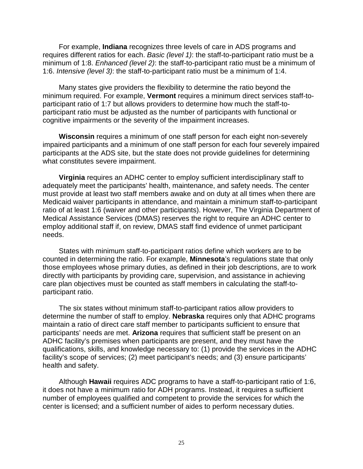For example, **Indiana** recognizes three levels of care in ADS programs and requires different ratios for each. *Basic (level 1)*: the staff-to-participant ratio must be a minimum of 1:8. *Enhanced (level 2)*: the staff-to-participant ratio must be a minimum of 1:6. *Intensive (level 3)*: the staff-to-participant ratio must be a minimum of 1:4.

Many states give providers the flexibility to determine the ratio beyond the minimum required. For example, **Vermont** requires a minimum direct services staff-toparticipant ratio of 1:7 but allows providers to determine how much the staff-toparticipant ratio must be adjusted as the number of participants with functional or cognitive impairments or the severity of the impairment increases.

**Wisconsin** requires a minimum of one staff person for each eight non-severely impaired participants and a minimum of one staff person for each four severely impaired participants at the ADS site, but the state does not provide guidelines for determining what constitutes severe impairment.

**Virginia** requires an ADHC center to employ sufficient interdisciplinary staff to adequately meet the participants' health, maintenance, and safety needs. The center must provide at least two staff members awake and on duty at all times when there are Medicaid waiver participants in attendance, and maintain a minimum staff-to-participant ratio of at least 1:6 (waiver and other participants). However, The Virginia Department of Medical Assistance Services (DMAS) reserves the right to require an ADHC center to employ additional staff if, on review, DMAS staff find evidence of unmet participant needs.

States with minimum staff-to-participant ratios define which workers are to be counted in determining the ratio. For example, **Minnesota**'s regulations state that only those employees whose primary duties, as defined in their job descriptions, are to work directly with participants by providing care, supervision, and assistance in achieving care plan objectives must be counted as staff members in calculating the staff-toparticipant ratio.

The six states without minimum staff-to-participant ratios allow providers to determine the number of staff to employ. **Nebraska** requires only that ADHC programs maintain a ratio of direct care staff member to participants sufficient to ensure that participants' needs are met. **Arizona** requires that sufficient staff be present on an ADHC facility's premises when participants are present, and they must have the qualifications, skills, and knowledge necessary to: (1) provide the services in the ADHC facility's scope of services; (2) meet participant's needs; and (3) ensure participants' health and safety.

Although **Hawaii** requires ADC programs to have a staff-to-participant ratio of 1:6, it does not have a minimum ratio for ADH programs. Instead, it requires a sufficient number of employees qualified and competent to provide the services for which the center is licensed; and a sufficient number of aides to perform necessary duties.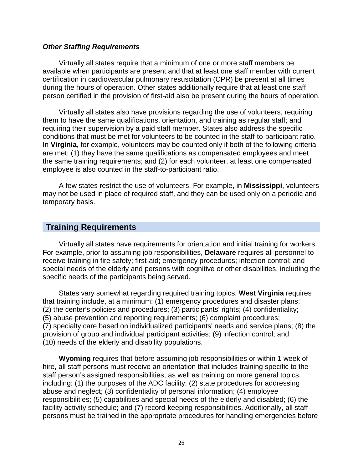#### *Other Staffing Requirements*

Virtually all states require that a minimum of one or more staff members be available when participants are present and that at least one staff member with current certification in cardiovascular pulmonary resuscitation (CPR) be present at all times during the hours of operation. Other states additionally require that at least one staff person certified in the provision of first-aid also be present during the hours of operation.

Virtually all states also have provisions regarding the use of volunteers, requiring them to have the same qualifications, orientation, and training as regular staff; and requiring their supervision by a paid staff member. States also address the specific conditions that must be met for volunteers to be counted in the staff-to-participant ratio. In **Virginia**, for example, volunteers may be counted only if both of the following criteria are met: (1) they have the same qualifications as compensated employees and meet the same training requirements; and (2) for each volunteer, at least one compensated employee is also counted in the staff-to-participant ratio.

A few states restrict the use of volunteers. For example, in **Mississippi**, volunteers may not be used in place of required staff, and they can be used only on a periodic and temporary basis.

#### **Training Requirements**

Virtually all states have requirements for orientation and initial training for workers. For example, prior to assuming job responsibilities, **Delaware** requires all personnel to receive training in fire safety; first-aid; emergency procedures; infection control; and special needs of the elderly and persons with cognitive or other disabilities, including the specific needs of the participants being served.

States vary somewhat regarding required training topics. **West Virginia** requires that training include, at a minimum: (1) emergency procedures and disaster plans; (2) the center's policies and procedures; (3) participants' rights; (4) confidentiality; (5) abuse prevention and reporting requirements; (6) complaint procedures; (7) specialty care based on individualized participants' needs and service plans; (8) the provision of group and individual participant activities; (9) infection control; and (10) needs of the elderly and disability populations.

**Wyoming** requires that before assuming job responsibilities or within 1 week of hire, all staff persons must receive an orientation that includes training specific to the staff person's assigned responsibilities, as well as training on more general topics, including: (1) the purposes of the ADC facility; (2) state procedures for addressing abuse and neglect; (3) confidentiality of personal information; (4) employee responsibilities; (5) capabilities and special needs of the elderly and disabled; (6) the facility activity schedule; and (7) record-keeping responsibilities. Additionally, all staff persons must be trained in the appropriate procedures for handling emergencies before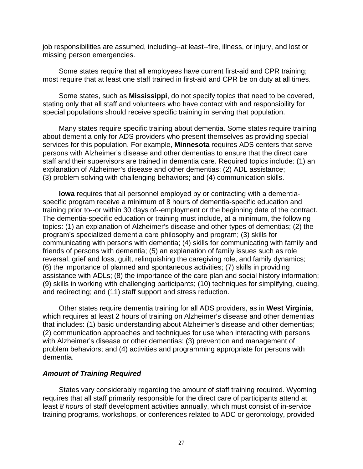job responsibilities are assumed, including--at least--fire, illness, or injury, and lost or missing person emergencies.

Some states require that all employees have current first-aid and CPR training; most require that at least one staff trained in first-aid and CPR be on duty at all times.

Some states, such as **Mississippi**, do not specify topics that need to be covered, stating only that all staff and volunteers who have contact with and responsibility for special populations should receive specific training in serving that population.

Many states require specific training about dementia. Some states require training about dementia only for ADS providers who present themselves as providing special services for this population. For example, **Minnesota** requires ADS centers that serve persons with Alzheimer's disease and other dementias to ensure that the direct care staff and their supervisors are trained in dementia care. Required topics include: (1) an explanation of Alzheimer's disease and other dementias; (2) ADL assistance; (3) problem solving with challenging behaviors; and (4) communication skills.

**Iowa** requires that all personnel employed by or contracting with a dementiaspecific program receive a minimum of 8 hours of dementia-specific education and training prior to--or within 30 days of--employment or the beginning date of the contract. The dementia-specific education or training must include, at a minimum, the following topics: (1) an explanation of Alzheimer's disease and other types of dementias; (2) the program's specialized dementia care philosophy and program; (3) skills for communicating with persons with dementia; (4) skills for communicating with family and friends of persons with dementia; (5) an explanation of family issues such as role reversal, grief and loss, guilt, relinquishing the caregiving role, and family dynamics; (6) the importance of planned and spontaneous activities; (7) skills in providing assistance with ADLs; (8) the importance of the care plan and social history information; (9) skills in working with challenging participants; (10) techniques for simplifying, cueing, and redirecting; and (11) staff support and stress reduction.

Other states require dementia training for all ADS providers, as in **West Virginia**, which requires at least 2 hours of training on Alzheimer's disease and other dementias that includes: (1) basic understanding about Alzheimer's disease and other dementias; (2) communication approaches and techniques for use when interacting with persons with Alzheimer's disease or other dementias; (3) prevention and management of problem behaviors; and (4) activities and programming appropriate for persons with dementia.

#### *Amount of Training Required*

States vary considerably regarding the amount of staff training required. Wyoming requires that all staff primarily responsible for the direct care of participants attend at least *8 hours* of staff development activities annually, which must consist of in-service training programs, workshops, or conferences related to ADC or gerontology, provided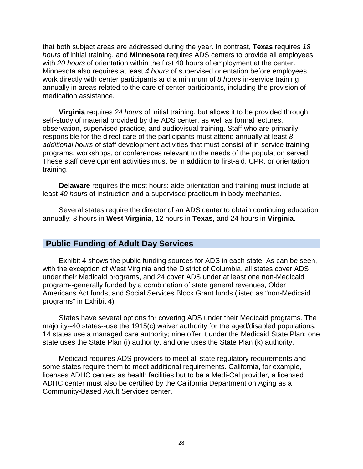that both subject areas are addressed during the year. In contrast, **Texas** requires *18 hours* of initial training, and **Minnesota** requires ADS centers to provide all employees with *20 hours* of orientation within the first 40 hours of employment at the center. Minnesota also requires at least *4 hours* of supervised orientation before employees work directly with center participants and a minimum of *8 hours* in-service training annually in areas related to the care of center participants, including the provision of medication assistance.

**Virginia** requires *24 hours* of initial training, but allows it to be provided through self-study of material provided by the ADS center, as well as formal lectures, observation, supervised practice, and audiovisual training. Staff who are primarily responsible for the direct care of the participants must attend annually at least *8 additional hours* of staff development activities that must consist of in-service training programs, workshops, or conferences relevant to the needs of the population served. These staff development activities must be in addition to first-aid, CPR, or orientation training.

**Delaware** requires the most hours: aide orientation and training must include at least *40 hours* of instruction and a supervised practicum in body mechanics.

Several states require the director of an ADS center to obtain continuing education annually: 8 hours in **West Virginia**, 12 hours in **Texas**, and 24 hours in **Virginia**.

#### **Public Funding of Adult Day Services**

Exhibit 4 shows the public funding sources for ADS in each state. As can be seen, with the exception of West Virginia and the District of Columbia, all states cover ADS under their Medicaid programs, and 24 cover ADS under at least one non-Medicaid program--generally funded by a combination of state general revenues, Older Americans Act funds, and Social Services Block Grant funds (listed as "non-Medicaid programs" in Exhibit 4).

States have several options for covering ADS under their Medicaid programs. The majority--40 states--use the 1915(c) waiver authority for the aged/disabled populations; 14 states use a managed care authority; nine offer it under the Medicaid State Plan; one state uses the State Plan (i) authority, and one uses the State Plan (k) authority.

Medicaid requires ADS providers to meet all state regulatory requirements and some states require them to meet additional requirements. California, for example, licenses ADHC centers as health facilities but to be a Medi-Cal provider, a licensed ADHC center must also be certified by the California Department on Aging as a Community-Based Adult Services center.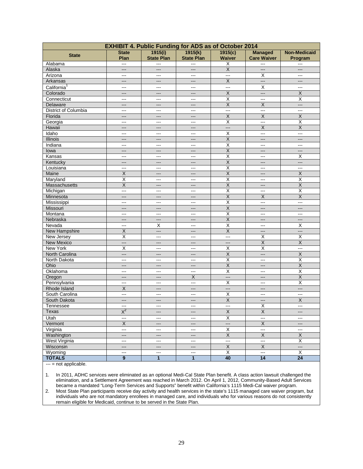| <b>EXHIBIT 4. Public Funding for ADS as of October 2014</b> |                          |                          |                          |                          |                          |                         |  |
|-------------------------------------------------------------|--------------------------|--------------------------|--------------------------|--------------------------|--------------------------|-------------------------|--|
| <b>State</b>                                                | <b>State</b>             | 1915(i)                  | 1915(k)                  | 1915(c)                  | <b>Managed</b>           | <b>Non-Medicaid</b>     |  |
|                                                             | Plan                     | <b>State Plan</b>        | <b>State Plan</b>        | Waiver                   | <b>Care Waiver</b>       | Program                 |  |
| Alabama                                                     | $\overline{a}$           | ---                      | ---                      | Х                        | ---                      | $---$                   |  |
| Alaska                                                      | $---$                    | ---                      | ---                      | $\mathsf X$              | ---                      | ---                     |  |
| Arizona                                                     | $--$                     | $---$                    | $---$                    | $\overline{a}$           | X                        | ---                     |  |
| Arkansas                                                    | $---$                    | ---                      | ---                      | $\overline{\mathsf{X}}$  | ---                      | ---                     |  |
| California <sup>1</sup>                                     | $--$                     | $---$                    | $---$                    | ---                      | $\overline{X}$           | ---                     |  |
| Colorado                                                    | $---$                    | $---$                    | ---                      | $\overline{\mathsf{X}}$  | ---                      | $\mathsf X$             |  |
| Connecticut                                                 | ---                      | ---                      | ---                      | $\overline{\mathsf{x}}$  | ---                      | $\overline{\mathsf{x}}$ |  |
| Delaware                                                    | $---$                    | $---$                    | $\qquad \qquad \cdots$   | $\overline{\mathsf{X}}$  | $\overline{X}$           | $---$                   |  |
| District of Columbia                                        | ---                      | ---                      | ---                      | ---                      | ---                      | ---                     |  |
| Florida                                                     | $---$                    | $---$                    | $---$                    | $\overline{\mathsf{X}}$  | $\overline{X}$           | $\overline{X}$          |  |
| Georgia                                                     | ---                      | ---                      | ---                      | $\overline{\mathsf{x}}$  | ---                      | $\overline{\mathsf{x}}$ |  |
| Hawaii                                                      | $---$                    | $---$                    | $---$                    | $\overline{\phantom{a}}$ | $\overline{X}$           | $\overline{X}$          |  |
| Idaho                                                       | ---                      | ---                      | ---                      | $\overline{\mathsf{X}}$  | ---                      | ---                     |  |
| Illinois                                                    | $---$                    | $---$                    | ---                      | $\overline{X}$           | $---$                    | $---$                   |  |
| Indiana                                                     | $---$                    | ---                      | $\qquad \qquad \cdots$   | $\overline{\mathsf{x}}$  | ---                      | ---                     |  |
| lowa                                                        | $---$                    | $---$                    | $---$                    | $\overline{\mathsf{X}}$  | $---$                    | ---                     |  |
| Kansas                                                      | $---$                    | $---$                    | $---$                    | $\overline{\mathsf{x}}$  | $---$                    | X                       |  |
| Kentucky                                                    | $---$                    | $---$                    | ---                      | $\overline{X}$           | ---                      | ---                     |  |
| Louisiana                                                   | $\overline{\phantom{a}}$ | $\sim$                   | ---                      | $\overline{\mathsf{x}}$  | ---                      | ---                     |  |
| Maine                                                       | $\overline{X}$           | ---                      | $---$                    | $\overline{\mathsf{X}}$  | ---                      | $\overline{X}$          |  |
| Maryland                                                    | $\overline{\mathsf{x}}$  | $\sim$ $\sim$            | $\overline{\phantom{a}}$ | $\overline{\mathsf{x}}$  | ---                      | $\overline{X}$          |  |
| Massachusetts                                               | X                        | ---                      | ---                      | $\overline{\mathsf{x}}$  | ---                      | $\mathsf X$             |  |
| Michigan                                                    | $\overline{a}$           | $--$                     | $---$                    | $\overline{\mathsf{x}}$  | $---$                    | $\overline{\mathsf{x}}$ |  |
| Minnesota                                                   | ---                      | ---                      | ---                      | $\overline{X}$           | X                        | $\overline{X}$          |  |
| Mississippi                                                 | $- - -$                  | $--$                     | $---$                    | $\overline{\mathsf{x}}$  | $\overline{a}$           | $\overline{a}$          |  |
| Missouri                                                    | $---$                    | ---                      | ---                      | X                        | ---                      | ---                     |  |
| Montana                                                     | $- - -$                  | $---$                    | $---$                    | $\overline{\mathsf{x}}$  | $---$                    | ---                     |  |
| Nebraska                                                    |                          | ---                      | ---                      | $\overline{\mathsf{X}}$  | ---                      | ---                     |  |
| Nevada                                                      | $\overline{\phantom{a}}$ | Χ                        | $---$                    | $\overline{\mathsf{x}}$  | ---                      | X                       |  |
| <b>New Hampshire</b>                                        | $\overline{X}$           | $---$                    | $---$                    | $\mathsf X$              | ---                      | $---$                   |  |
| New Jersey                                                  | $\overline{\mathsf{x}}$  | ---                      | $---$                    | $\overline{a}$           | X                        | X                       |  |
| New Mexico                                                  | $\overline{\phantom{a}}$ | $---$                    | $---$                    | $---$                    | $\overline{\mathsf{x}}$  | $\overline{X}$          |  |
| New York                                                    | Χ                        | ---                      | $---$                    | Χ                        | $\overline{\mathsf{x}}$  | ---                     |  |
| North Carolina                                              | $\qquad \qquad -\qquad$  | $---$                    | $---$                    | X                        | ---                      | $\overline{\mathsf{X}}$ |  |
| North Dakota                                                | $\overline{\phantom{a}}$ | ---                      | $---$                    | $\overline{\mathsf{x}}$  | ---                      | X                       |  |
| Ohio                                                        | $---$                    | ---                      | $---$                    | $\overline{\mathsf{X}}$  | $---$                    | $\overline{X}$          |  |
| Oklahoma                                                    | ---                      | ---                      | ---                      | $\overline{\mathsf{x}}$  | ---                      | $\overline{\mathsf{x}}$ |  |
| Oregon                                                      | $---$                    | $---$                    | $\overline{X}$           | $---$                    | $---$                    | $\overline{\mathsf{X}}$ |  |
| Pennsylvania                                                | $\overline{a}$           | ---                      | ---                      | $\overline{\mathsf{x}}$  | ---                      | $\overline{\mathsf{x}}$ |  |
| Rhode Island                                                | X                        | $---$                    | $---$                    | $---$                    | ---                      | $---$                   |  |
| South Carolina                                              | ---                      | ---                      | ---                      | $\overline{\mathsf{x}}$  | ---                      | ---                     |  |
| South Dakota                                                | $---$                    | $---$                    | $\qquad \qquad \cdots$   | $\overline{X}$           | $---$                    | $\overline{X}$          |  |
| Tennessee                                                   | $\overline{\phantom{a}}$ | $\overline{a}$           | ---                      | ---                      | X                        | $\overline{a}$          |  |
| Texas                                                       | $X^2$                    | $---$                    | $---$                    | X                        | X                        | ---                     |  |
| Utah                                                        | $\overline{a}$           | $\cdots$                 | $---$                    | $\overline{\mathsf{x}}$  | ---                      | ---                     |  |
| Vermont                                                     | X                        | ---                      | ---                      | $---$                    | $\mathsf X$              | ---                     |  |
| Virginia                                                    | $\overline{a}$           | $\cdots$                 | $---$                    | $\overline{\mathsf{x}}$  | ---                      | $\sim$                  |  |
|                                                             |                          |                          |                          | X                        | $\overline{\mathsf{X}}$  | $\overline{\mathsf{X}}$ |  |
| Washington<br><b>West Virginia</b>                          | $---$                    | ---                      | ---                      | ---                      | ---                      | $\overline{\mathsf{X}}$ |  |
|                                                             | $---$<br>$\overline{a}$  | $\cdots$                 | $---$<br>$\overline{a}$  | $\overline{\mathsf{X}}$  | $\overline{\mathsf{X}}$  | ---                     |  |
| Wisconsin<br>Wyoming                                        |                          | ---                      |                          |                          | $\overline{\phantom{a}}$ |                         |  |
| <b>TOTALS</b>                                               | $\cdots$<br>9            | $\sim$<br>$\overline{1}$ | ---<br>1                 | Χ<br>40                  | 14                       | X<br>$\overline{24}$    |  |
|                                                             |                          |                          |                          |                          |                          |                         |  |

--- = not applicable.

1. In 2011, ADHC services were eliminated as an optional Medi-Cal State Plan benefit. A class action lawsuit challenged the elimination, and a Settlement Agreement was reached in March 2012. On April 1, 2012, Community-Based Adult Services became a mandated "Long-Term Services and Supports" benefit within California's 1115 Medi-Cal waiver program. 2. Most State Plan participants receive day activity and health services in the state's 1115 managed care waiver program, but

individuals who are not mandatory enrollees in managed care, and individuals who for various reasons do not consistently remain eligible for Medicaid, continue to be served in the State Plan.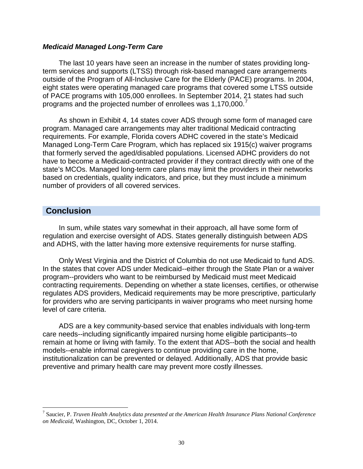#### *Medicaid Managed Long-Term Care*

The last 10 years have seen an increase in the number of states providing longterm services and supports (LTSS) through risk-based managed care arrangements outside of the Program of All-Inclusive Care for the Elderly (PACE) programs. In 2004, eight states were operating managed care programs that covered some LTSS outside of PACE programs with 105,000 enrollees. In September 2014, 21 states had such programs and the projected number of enrollees was 1,1[7](#page-22-0)0,000.

As shown in Exhibit 4, 14 states cover ADS through some form of managed care program. Managed care arrangements may alter traditional Medicaid contracting requirements. For example, Florida covers ADHC covered in the state's Medicaid Managed Long-Term Care Program, which has replaced six 1915(c) waiver programs that formerly served the aged/disabled populations. Licensed ADHC providers do not have to become a Medicaid-contracted provider if they contract directly with one of the state's MCOs. Managed long-term care plans may limit the providers in their networks based on credentials, quality indicators, and price, but they must include a minimum number of providers of all covered services.

#### **Conclusion**

In sum, while states vary somewhat in their approach, all have some form of regulation and exercise oversight of ADS. States generally distinguish between ADS and ADHS, with the latter having more extensive requirements for nurse staffing.

Only West Virginia and the District of Columbia do not use Medicaid to fund ADS. In the states that cover ADS under Medicaid--either through the State Plan or a waiver program--providers who want to be reimbursed by Medicaid must meet Medicaid contracting requirements. Depending on whether a state licenses, certifies, or otherwise regulates ADS providers, Medicaid requirements may be more prescriptive, particularly for providers who are serving participants in waiver programs who meet nursing home level of care criteria.

ADS are a key community-based service that enables individuals with long-term care needs--including significantly impaired nursing home eligible participants--to remain at home or living with family. To the extent that ADS--both the social and health models--enable informal caregivers to continue providing care in the home, institutionalization can be prevented or delayed. Additionally, ADS that provide basic preventive and primary health care may prevent more costly illnesses.

<sup>7</sup> Saucier, P. *Truven Health Analytics data presented at the American Health Insurance Plans National Conference on Medicaid*, Washington, DC, October 1, 2014.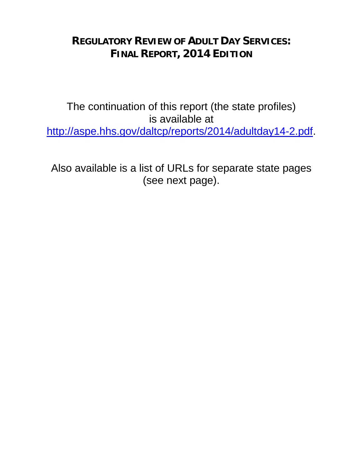## **REGULATORY REVIEW OF ADULT DAY SERVICES: FINAL REPORT, 2014 EDITION**

The continuation of this report (the state profiles) is available at [http://aspe.hhs.gov/daltcp/reports/2014/adultday14-2.pdf.](http://aspe.hhs.gov/daltcp/reports/2014/adultday14-2.pdf)

Also available is a list of URLs for separate state pages (see next page).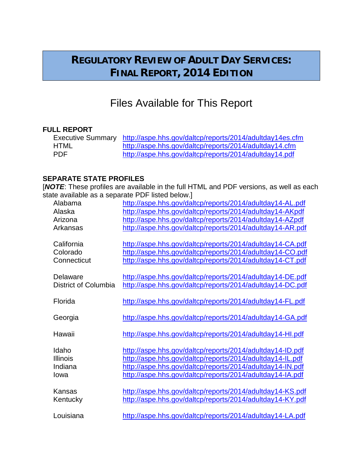## **REGULATORY REVIEW OF ADULT DAY SERVICES: FINAL REPORT, 2014 EDITION**

## Files Available for This Report

#### **FULL REPORT**

|      | Executive Summary http://aspe.hhs.gov/daltcp/reports/2014/adultday14es.cfm |
|------|----------------------------------------------------------------------------|
| HTML | http://aspe.hhs.gov/daltcp/reports/2014/adultday14.cfm                     |
| PDF. | http://aspe.hhs.gov/daltcp/reports/2014/adultday14.pdf                     |

#### **SEPARATE STATE PROFILES**

[*NOTE*: These profiles are available in the full HTML and PDF versions, as well as each state available as a separate PDF listed below.]

| Alabama              | http://aspe.hhs.gov/daltcp/reports/2014/adultday14-AL.pdf |
|----------------------|-----------------------------------------------------------|
| Alaska               | http://aspe.hhs.gov/daltcp/reports/2014/adultday14-AKpdf  |
| Arizona              | http://aspe.hhs.gov/daltcp/reports/2014/adultday14-AZpdf  |
| Arkansas             | http://aspe.hhs.gov/daltcp/reports/2014/adultday14-AR.pdf |
| California           | http://aspe.hhs.gov/daltcp/reports/2014/adultday14-CA.pdf |
| Colorado             | http://aspe.hhs.gov/daltcp/reports/2014/adultday14-CO.pdf |
| Connecticut          | http://aspe.hhs.gov/daltcp/reports/2014/adultday14-CT.pdf |
| Delaware             | http://aspe.hhs.gov/daltcp/reports/2014/adultday14-DE.pdf |
| District of Columbia | http://aspe.hhs.gov/daltcp/reports/2014/adultday14-DC.pdf |
| Florida              | http://aspe.hhs.gov/daltcp/reports/2014/adultday14-FL.pdf |
| Georgia              | http://aspe.hhs.gov/daltcp/reports/2014/adultday14-GA.pdf |
| Hawaii               | http://aspe.hhs.gov/daltcp/reports/2014/adultday14-HI.pdf |
| Idaho                | http://aspe.hhs.gov/daltcp/reports/2014/adultday14-ID.pdf |
| <b>Illinois</b>      | http://aspe.hhs.gov/daltcp/reports/2014/adultday14-IL.pdf |
| Indiana              | http://aspe.hhs.gov/daltcp/reports/2014/adultday14-IN.pdf |
| Iowa                 | http://aspe.hhs.gov/daltcp/reports/2014/adultday14-IA.pdf |
| Kansas               | http://aspe.hhs.gov/daltcp/reports/2014/adultday14-KS.pdf |
| Kentucky             | http://aspe.hhs.gov/daltcp/reports/2014/adultday14-KY.pdf |
| Louisiana            | http://aspe.hhs.gov/daltcp/reports/2014/adultday14-LA.pdf |